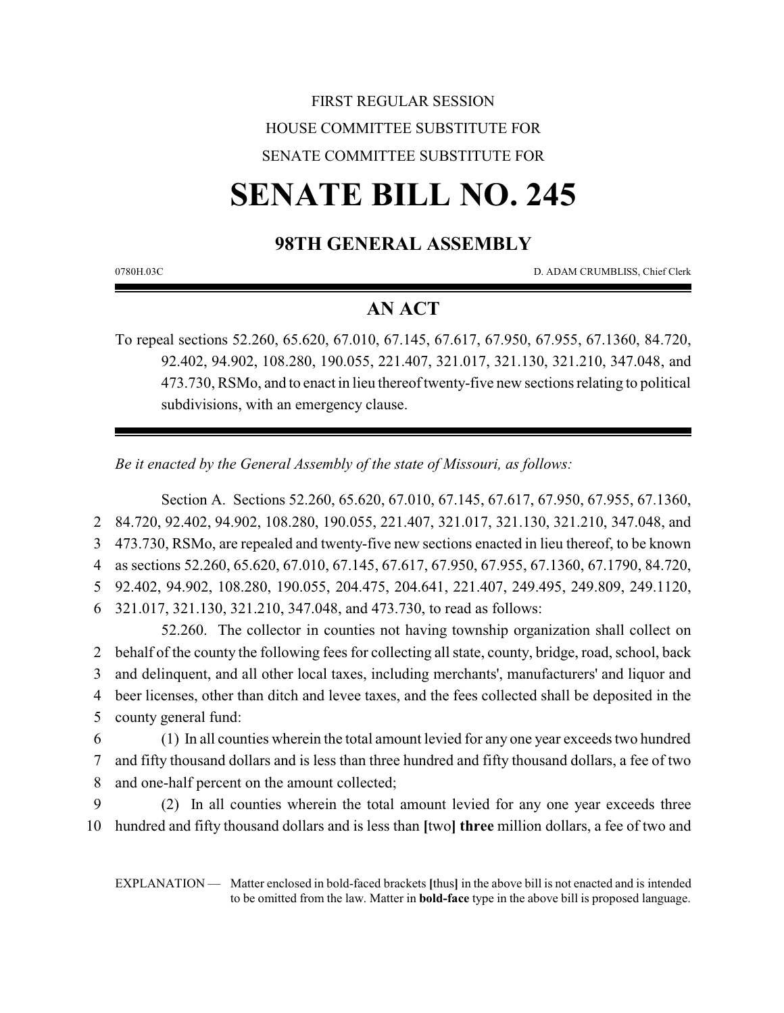## FIRST REGULAR SESSION HOUSE COMMITTEE SUBSTITUTE FOR SENATE COMMITTEE SUBSTITUTE FOR

# **SENATE BILL NO. 245**

## **98TH GENERAL ASSEMBLY**

0780H.03C D. ADAM CRUMBLISS, Chief Clerk

## **AN ACT**

To repeal sections 52.260, 65.620, 67.010, 67.145, 67.617, 67.950, 67.955, 67.1360, 84.720, 92.402, 94.902, 108.280, 190.055, 221.407, 321.017, 321.130, 321.210, 347.048, and 473.730, RSMo, and to enact in lieu thereof twenty-five new sections relating to political subdivisions, with an emergency clause.

*Be it enacted by the General Assembly of the state of Missouri, as follows:*

Section A. Sections 52.260, 65.620, 67.010, 67.145, 67.617, 67.950, 67.955, 67.1360, 84.720, 92.402, 94.902, 108.280, 190.055, 221.407, 321.017, 321.130, 321.210, 347.048, and 473.730, RSMo, are repealed and twenty-five new sections enacted in lieu thereof, to be known as sections 52.260, 65.620, 67.010, 67.145, 67.617, 67.950, 67.955, 67.1360, 67.1790, 84.720, 92.402, 94.902, 108.280, 190.055, 204.475, 204.641, 221.407, 249.495, 249.809, 249.1120, 321.017, 321.130, 321.210, 347.048, and 473.730, to read as follows:

52.260. The collector in counties not having township organization shall collect on behalf of the county the following fees for collecting all state, county, bridge, road, school, back and delinquent, and all other local taxes, including merchants', manufacturers' and liquor and beer licenses, other than ditch and levee taxes, and the fees collected shall be deposited in the county general fund:

6 (1) In all counties wherein the total amount levied for any one year exceeds two hundred 7 and fifty thousand dollars and is less than three hundred and fifty thousand dollars, a fee of two 8 and one-half percent on the amount collected;

9 (2) In all counties wherein the total amount levied for any one year exceeds three 10 hundred and fifty thousand dollars and is less than **[**two**] three** million dollars, a fee of two and

EXPLANATION — Matter enclosed in bold-faced brackets **[**thus**]** in the above bill is not enacted and is intended to be omitted from the law. Matter in **bold-face** type in the above bill is proposed language.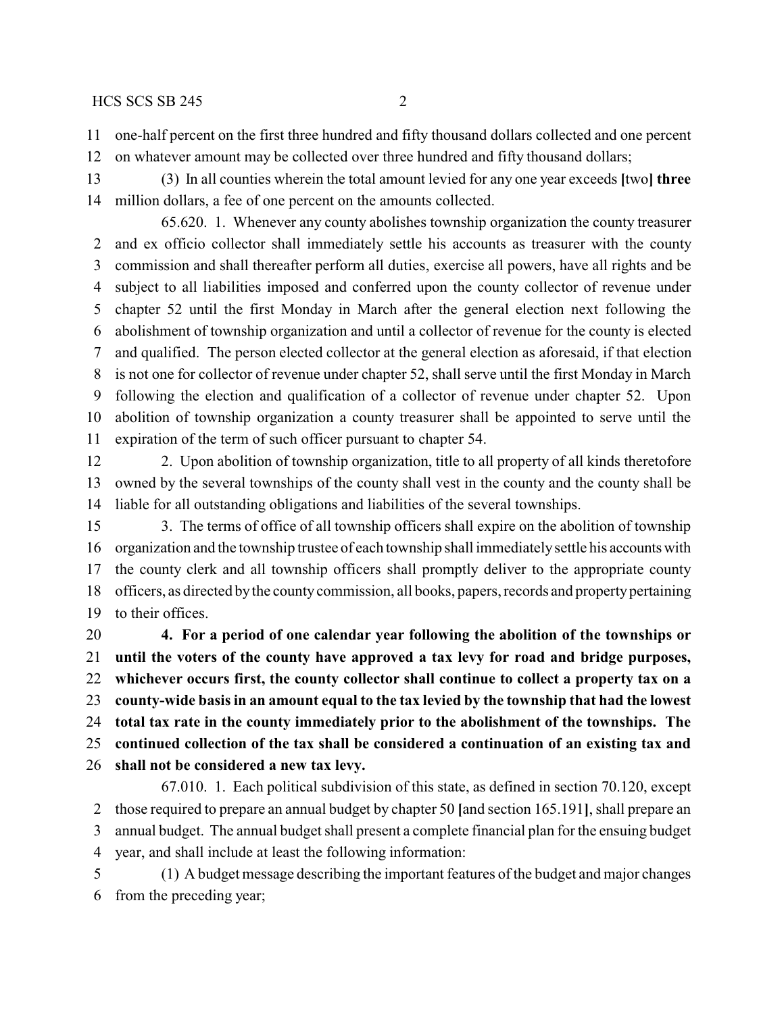one-half percent on the first three hundred and fifty thousand dollars collected and one percent

on whatever amount may be collected over three hundred and fifty thousand dollars;

 (3) In all counties wherein the total amount levied for any one year exceeds **[**two**] three** million dollars, a fee of one percent on the amounts collected.

65.620. 1. Whenever any county abolishes township organization the county treasurer and ex officio collector shall immediately settle his accounts as treasurer with the county commission and shall thereafter perform all duties, exercise all powers, have all rights and be subject to all liabilities imposed and conferred upon the county collector of revenue under chapter 52 until the first Monday in March after the general election next following the abolishment of township organization and until a collector of revenue for the county is elected and qualified. The person elected collector at the general election as aforesaid, if that election is not one for collector of revenue under chapter 52, shall serve until the first Monday in March following the election and qualification of a collector of revenue under chapter 52. Upon abolition of township organization a county treasurer shall be appointed to serve until the expiration of the term of such officer pursuant to chapter 54.

 2. Upon abolition of township organization, title to all property of all kinds theretofore owned by the several townships of the county shall vest in the county and the county shall be liable for all outstanding obligations and liabilities of the several townships.

 3. The terms of office of all township officers shall expire on the abolition of township organization and the township trustee of each township shall immediatelysettle his accountswith the county clerk and all township officers shall promptly deliver to the appropriate county officers, as directed bythe countycommission, all books, papers, records and propertypertaining to their offices.

 **4. For a period of one calendar year following the abolition of the townships or until the voters of the county have approved a tax levy for road and bridge purposes, whichever occurs first, the county collector shall continue to collect a property tax on a county-wide basis in an amount equal to the tax levied by the township that had the lowest total tax rate in the county immediately prior to the abolishment of the townships. The continued collection of the tax shall be considered a continuation of an existing tax and shall not be considered a new tax levy.**

67.010. 1. Each political subdivision of this state, as defined in section 70.120, except those required to prepare an annual budget by chapter 50 **[**and section 165.191**]**, shall prepare an annual budget. The annual budget shall present a complete financial plan for the ensuing budget year, and shall include at least the following information:

 (1) A budget message describing the important features of the budget and major changes from the preceding year;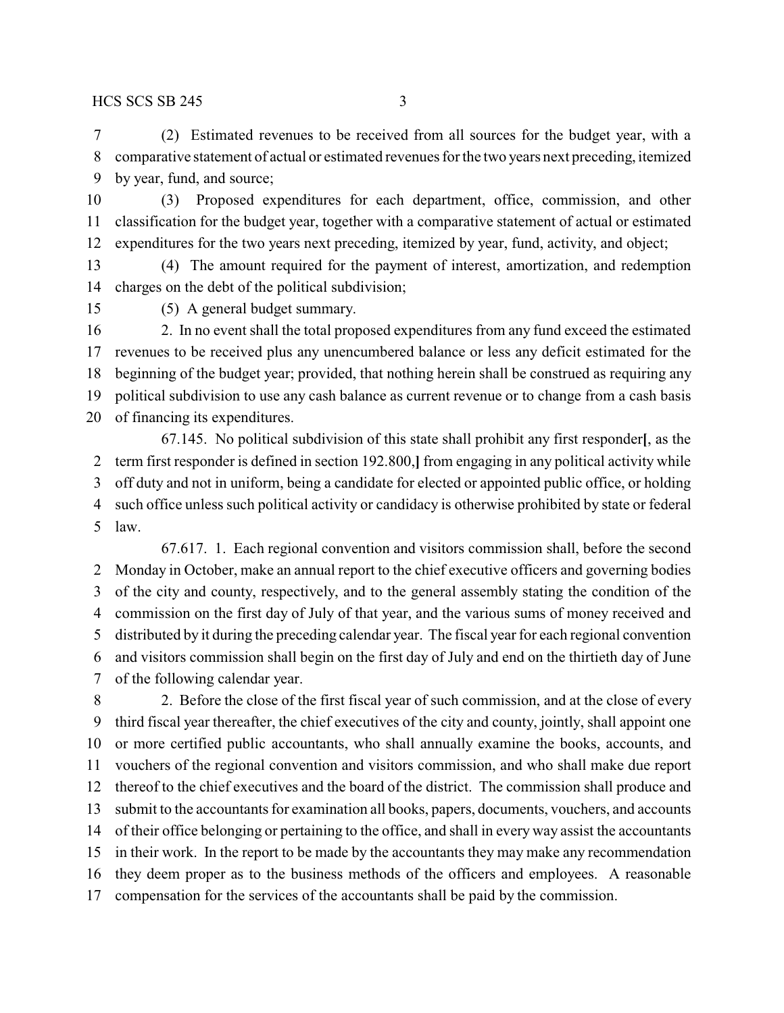(2) Estimated revenues to be received from all sources for the budget year, with a comparative statement of actual or estimated revenues for the two years next preceding, itemized by year, fund, and source;

 (3) Proposed expenditures for each department, office, commission, and other classification for the budget year, together with a comparative statement of actual or estimated expenditures for the two years next preceding, itemized by year, fund, activity, and object;

 (4) The amount required for the payment of interest, amortization, and redemption charges on the debt of the political subdivision;

(5) A general budget summary.

 2. In no event shall the total proposed expenditures from any fund exceed the estimated revenues to be received plus any unencumbered balance or less any deficit estimated for the beginning of the budget year; provided, that nothing herein shall be construed as requiring any political subdivision to use any cash balance as current revenue or to change from a cash basis of financing its expenditures.

67.145. No political subdivision of this state shall prohibit any first responder**[**, as the term first responder is defined in section 192.800,**]** from engaging in any political activity while off duty and not in uniform, being a candidate for elected or appointed public office, or holding such office unless such political activity or candidacy is otherwise prohibited by state or federal law.

67.617. 1. Each regional convention and visitors commission shall, before the second Monday in October, make an annual report to the chief executive officers and governing bodies of the city and county, respectively, and to the general assembly stating the condition of the commission on the first day of July of that year, and the various sums of money received and distributed by it during the preceding calendar year. The fiscal year for each regional convention and visitors commission shall begin on the first day of July and end on the thirtieth day of June of the following calendar year.

 2. Before the close of the first fiscal year of such commission, and at the close of every third fiscal year thereafter, the chief executives of the city and county, jointly, shall appoint one or more certified public accountants, who shall annually examine the books, accounts, and vouchers of the regional convention and visitors commission, and who shall make due report thereof to the chief executives and the board of the district. The commission shall produce and submit to the accountants for examination all books, papers, documents, vouchers, and accounts of their office belonging or pertaining to the office, and shall in every way assist the accountants in their work. In the report to be made by the accountants they may make any recommendation they deem proper as to the business methods of the officers and employees. A reasonable compensation for the services of the accountants shall be paid by the commission.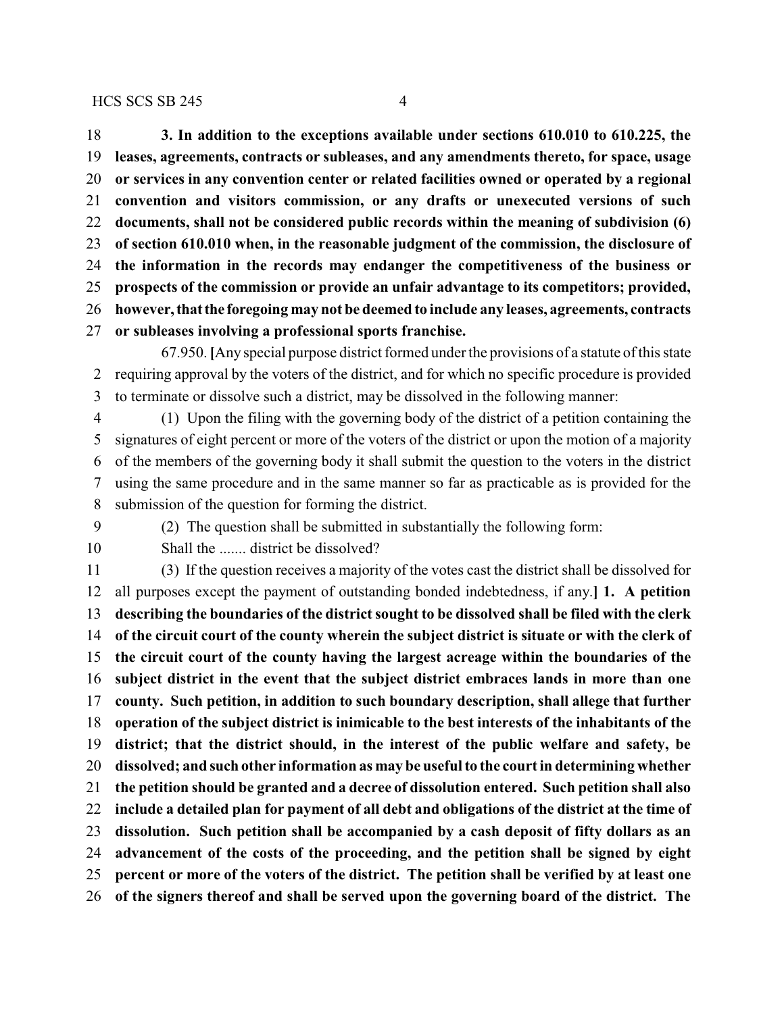**3. In addition to the exceptions available under sections 610.010 to 610.225, the leases, agreements, contracts or subleases, and any amendments thereto, for space, usage or services in any convention center or related facilities owned or operated by a regional convention and visitors commission, or any drafts or unexecuted versions of such documents, shall not be considered public records within the meaning of subdivision (6) of section 610.010 when, in the reasonable judgment of the commission, the disclosure of the information in the records may endanger the competitiveness of the business or prospects of the commission or provide an unfair advantage to its competitors; provided, however,thatthe foregoing may not be deemed to include any leases, agreements, contracts or subleases involving a professional sports franchise.**

67.950. **[**Any special purpose district formed under the provisions of a statute of this state requiring approval by the voters of the district, and for which no specific procedure is provided to terminate or dissolve such a district, may be dissolved in the following manner:

 (1) Upon the filing with the governing body of the district of a petition containing the signatures of eight percent or more of the voters of the district or upon the motion of a majority of the members of the governing body it shall submit the question to the voters in the district using the same procedure and in the same manner so far as practicable as is provided for the submission of the question for forming the district.

- 
- 

(2) The question shall be submitted in substantially the following form:

10 Shall the ....... district be dissolved?

 (3) If the question receives a majority of the votes cast the district shall be dissolved for all purposes except the payment of outstanding bonded indebtedness, if any.**] 1. A petition describing the boundaries of the district sought to be dissolved shall be filed with the clerk of the circuit court of the county wherein the subject district is situate or with the clerk of the circuit court of the county having the largest acreage within the boundaries of the subject district in the event that the subject district embraces lands in more than one county. Such petition, in addition to such boundary description, shall allege that further operation of the subject district is inimicable to the best interests of the inhabitants of the district; that the district should, in the interest of the public welfare and safety, be dissolved; and such other information as may be useful to the court in determining whether the petition should be granted and a decree of dissolution entered. Such petition shall also include a detailed plan for payment of all debt and obligations of the district at the time of dissolution. Such petition shall be accompanied by a cash deposit of fifty dollars as an advancement of the costs of the proceeding, and the petition shall be signed by eight percent or more of the voters of the district. The petition shall be verified by at least one of the signers thereof and shall be served upon the governing board of the district. The**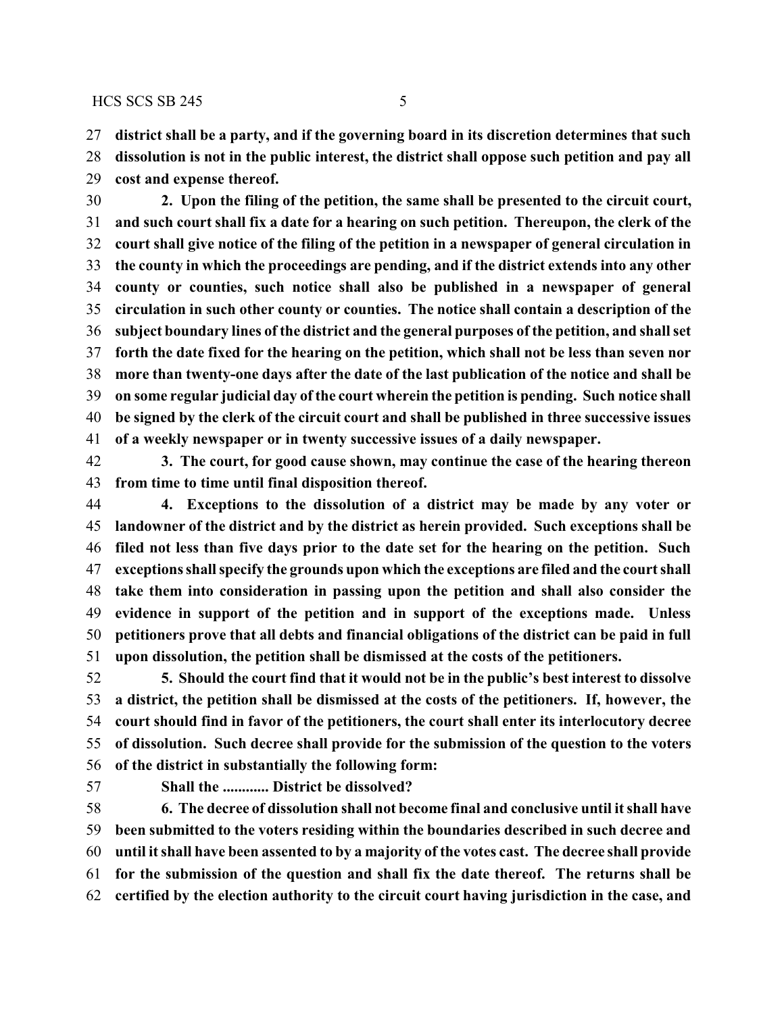**district shall be a party, and if the governing board in its discretion determines that such**

 **dissolution is not in the public interest, the district shall oppose such petition and pay all cost and expense thereof.**

 **2. Upon the filing of the petition, the same shall be presented to the circuit court, and such court shall fix a date for a hearing on such petition. Thereupon, the clerk of the court shall give notice of the filing of the petition in a newspaper of general circulation in the county in which the proceedings are pending, and if the district extends into any other county or counties, such notice shall also be published in a newspaper of general circulation in such other county or counties. The notice shall contain a description of the subject boundary lines of the district and the general purposes of the petition, and shall set forth the date fixed for the hearing on the petition, which shall not be less than seven nor more than twenty-one days after the date of the last publication of the notice and shall be on some regular judicial day of the court wherein the petition is pending. Such notice shall be signed by the clerk of the circuit court and shall be published in three successive issues of a weekly newspaper or in twenty successive issues of a daily newspaper.**

 **3. The court, for good cause shown, may continue the case of the hearing thereon from time to time until final disposition thereof.**

 **4. Exceptions to the dissolution of a district may be made by any voter or landowner of the district and by the district as herein provided. Such exceptions shall be filed not less than five days prior to the date set for the hearing on the petition. Such exceptions shall specify the grounds upon which the exceptions are filed and the court shall take them into consideration in passing upon the petition and shall also consider the evidence in support of the petition and in support of the exceptions made. Unless petitioners prove that all debts and financial obligations of the district can be paid in full upon dissolution, the petition shall be dismissed at the costs of the petitioners.**

 **5. Should the court find that it would not be in the public's best interest to dissolve a district, the petition shall be dismissed at the costs of the petitioners. If, however, the court should find in favor of the petitioners, the court shall enter its interlocutory decree of dissolution. Such decree shall provide for the submission of the question to the voters of the district in substantially the following form:**

**Shall the ............ District be dissolved?**

 **6. The decree of dissolution shall not become final and conclusive until it shall have been submitted to the voters residing within the boundaries described in such decree and until it shall have been assented to by a majority of the votes cast. The decree shall provide for the submission of the question and shall fix the date thereof. The returns shall be certified by the election authority to the circuit court having jurisdiction in the case, and**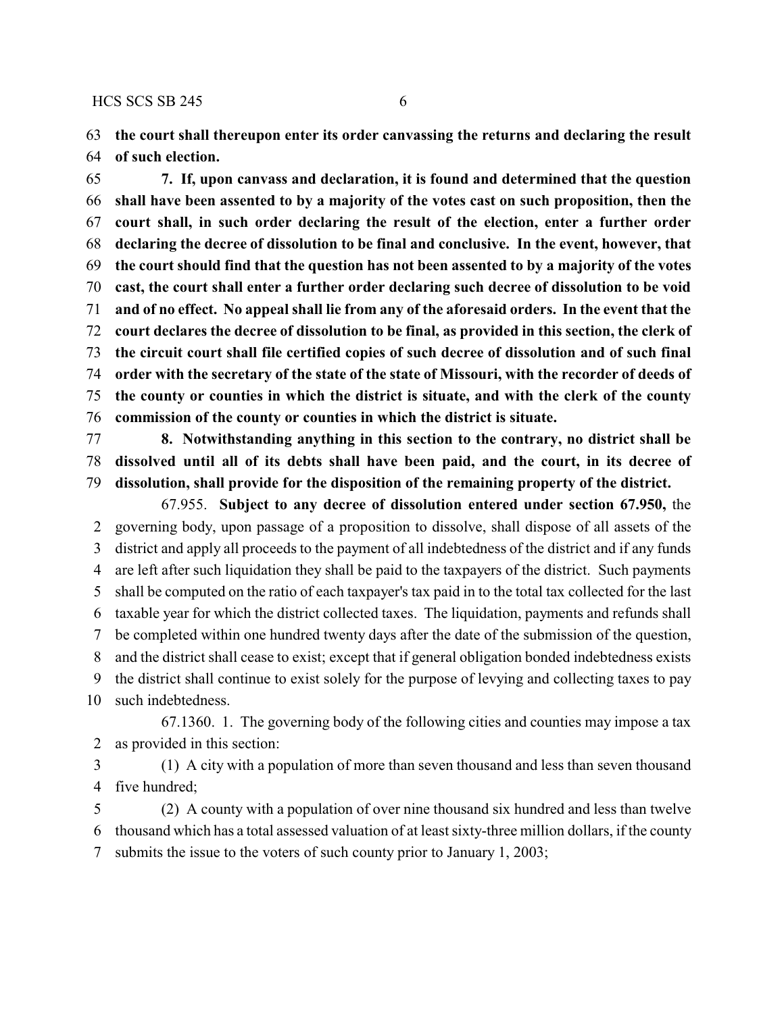**the court shall thereupon enter its order canvassing the returns and declaring the result of such election.**

 **7. If, upon canvass and declaration, it is found and determined that the question shall have been assented to by a majority of the votes cast on such proposition, then the court shall, in such order declaring the result of the election, enter a further order declaring the decree of dissolution to be final and conclusive. In the event, however, that the court should find that the question has not been assented to by a majority of the votes cast, the court shall enter a further order declaring such decree of dissolution to be void and of no effect. No appeal shall lie from any of the aforesaid orders. In the event that the court declares the decree of dissolution to be final, as provided in this section, the clerk of the circuit court shall file certified copies of such decree of dissolution and of such final order with the secretary of the state of the state of Missouri, with the recorder of deeds of the county or counties in which the district is situate, and with the clerk of the county commission of the county or counties in which the district is situate.**

 **8. Notwithstanding anything in this section to the contrary, no district shall be dissolved until all of its debts shall have been paid, and the court, in its decree of dissolution, shall provide for the disposition of the remaining property of the district.**

67.955. **Subject to any decree of dissolution entered under section 67.950,** the governing body, upon passage of a proposition to dissolve, shall dispose of all assets of the district and apply all proceeds to the payment of all indebtedness of the district and if any funds are left after such liquidation they shall be paid to the taxpayers of the district. Such payments shall be computed on the ratio of each taxpayer's tax paid in to the total tax collected for the last taxable year for which the district collected taxes. The liquidation, payments and refunds shall be completed within one hundred twenty days after the date of the submission of the question, and the district shall cease to exist; except that if general obligation bonded indebtedness exists the district shall continue to exist solely for the purpose of levying and collecting taxes to pay such indebtedness.

67.1360. 1. The governing body of the following cities and counties may impose a tax as provided in this section:

 (1) A city with a population of more than seven thousand and less than seven thousand five hundred;

 (2) A county with a population of over nine thousand six hundred and less than twelve thousand which has a total assessed valuation of at least sixty-three million dollars, if the county submits the issue to the voters of such county prior to January 1, 2003;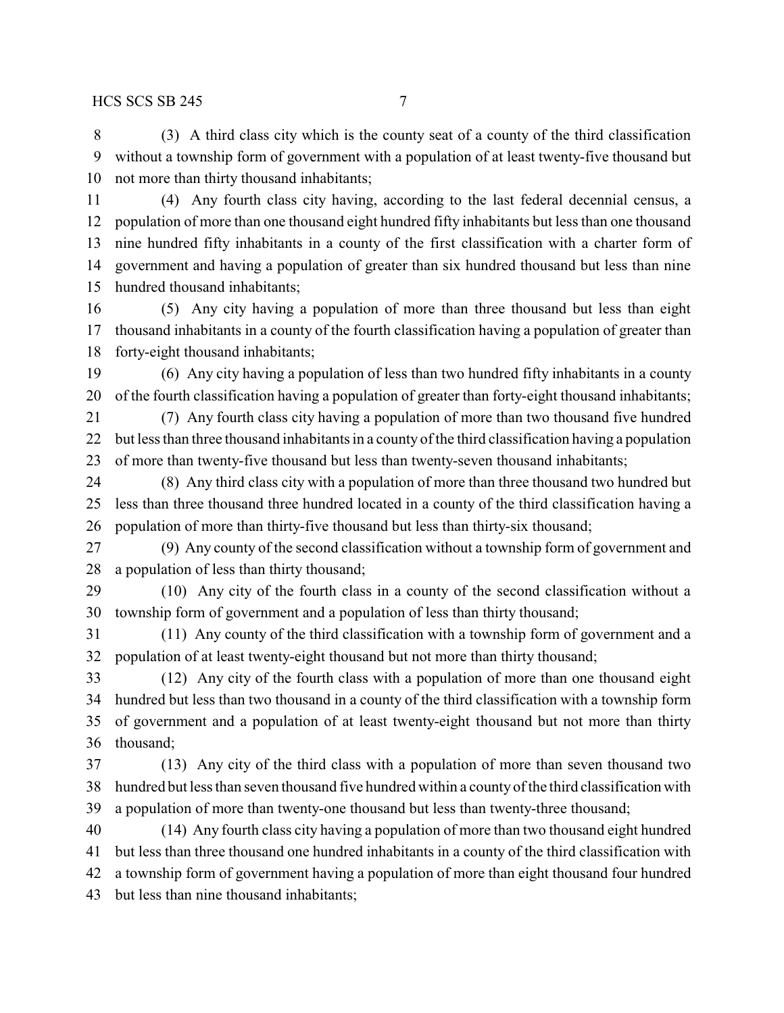(3) A third class city which is the county seat of a county of the third classification without a township form of government with a population of at least twenty-five thousand but not more than thirty thousand inhabitants;

 (4) Any fourth class city having, according to the last federal decennial census, a population of more than one thousand eight hundred fifty inhabitants but less than one thousand nine hundred fifty inhabitants in a county of the first classification with a charter form of government and having a population of greater than six hundred thousand but less than nine hundred thousand inhabitants;

 (5) Any city having a population of more than three thousand but less than eight thousand inhabitants in a county of the fourth classification having a population of greater than forty-eight thousand inhabitants;

 (6) Any city having a population of less than two hundred fifty inhabitants in a county of the fourth classification having a population of greater than forty-eight thousand inhabitants;

 (7) Any fourth class city having a population of more than two thousand five hundred but less than three thousand inhabitants in a county of the third classification having a population of more than twenty-five thousand but less than twenty-seven thousand inhabitants;

 (8) Any third class city with a population of more than three thousand two hundred but less than three thousand three hundred located in a county of the third classification having a population of more than thirty-five thousand but less than thirty-six thousand;

 (9) Any county of the second classification without a township form of government and a population of less than thirty thousand;

 (10) Any city of the fourth class in a county of the second classification without a township form of government and a population of less than thirty thousand;

 (11) Any county of the third classification with a township form of government and a population of at least twenty-eight thousand but not more than thirty thousand;

 (12) Any city of the fourth class with a population of more than one thousand eight hundred but less than two thousand in a county of the third classification with a township form of government and a population of at least twenty-eight thousand but not more than thirty thousand;

 (13) Any city of the third class with a population of more than seven thousand two hundred but less than seven thousand five hundred within a county of the third classification with a population of more than twenty-one thousand but less than twenty-three thousand;

 (14) Any fourth class city having a population of more than two thousand eight hundred but less than three thousand one hundred inhabitants in a county of the third classification with a township form of government having a population of more than eight thousand four hundred but less than nine thousand inhabitants;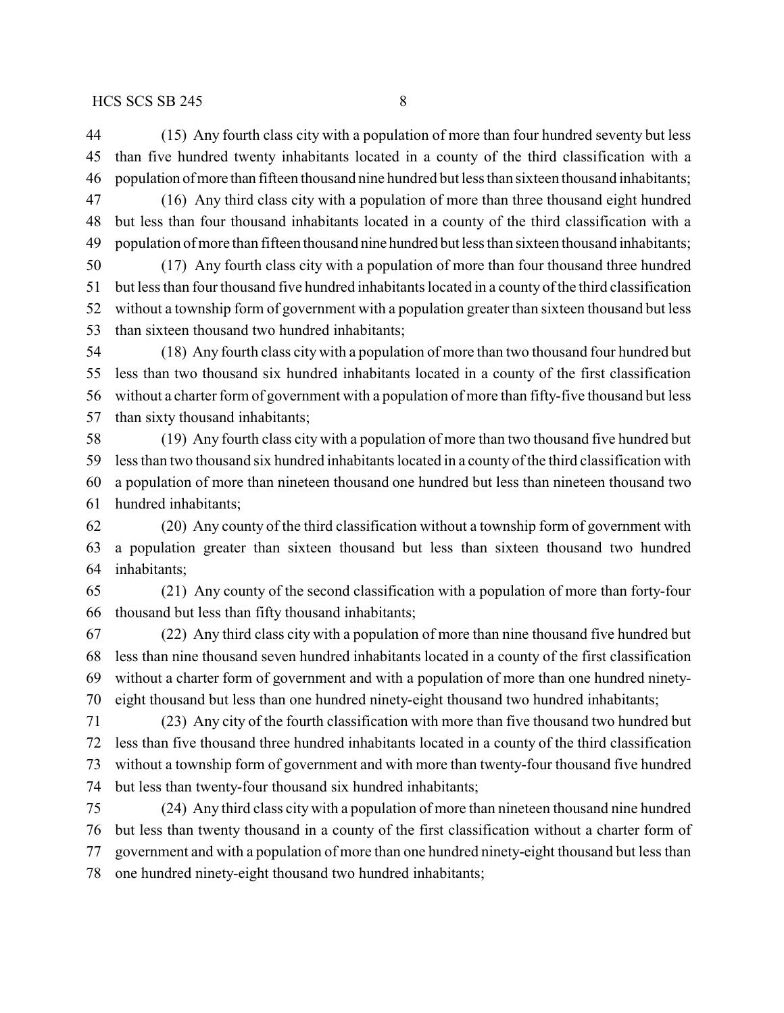(15) Any fourth class city with a population of more than four hundred seventy but less than five hundred twenty inhabitants located in a county of the third classification with a population ofmore than fifteen thousand nine hundred but less than sixteen thousand inhabitants;

 (16) Any third class city with a population of more than three thousand eight hundred but less than four thousand inhabitants located in a county of the third classification with a 49 population of more than fifteen thousand nine hundred but less than sixteen thousand inhabitants;

 (17) Any fourth class city with a population of more than four thousand three hundred but less than four thousand five hundred inhabitants located in a county of the third classification without a township form of government with a population greater than sixteen thousand but less than sixteen thousand two hundred inhabitants;

 (18) Any fourth class city with a population of more than two thousand four hundred but less than two thousand six hundred inhabitants located in a county of the first classification without a charter form of government with a population of more than fifty-five thousand but less than sixty thousand inhabitants;

 (19) Any fourth class city with a population of more than two thousand five hundred but less than two thousand six hundred inhabitants located in a county of the third classification with a population of more than nineteen thousand one hundred but less than nineteen thousand two hundred inhabitants;

 (20) Any county of the third classification without a township form of government with a population greater than sixteen thousand but less than sixteen thousand two hundred inhabitants;

 (21) Any county of the second classification with a population of more than forty-four thousand but less than fifty thousand inhabitants;

 (22) Any third class city with a population of more than nine thousand five hundred but less than nine thousand seven hundred inhabitants located in a county of the first classification without a charter form of government and with a population of more than one hundred ninety-eight thousand but less than one hundred ninety-eight thousand two hundred inhabitants;

 (23) Any city of the fourth classification with more than five thousand two hundred but less than five thousand three hundred inhabitants located in a county of the third classification without a township form of government and with more than twenty-four thousand five hundred but less than twenty-four thousand six hundred inhabitants;

 (24) Any third class city with a population of more than nineteen thousand nine hundred but less than twenty thousand in a county of the first classification without a charter form of government and with a population of more than one hundred ninety-eight thousand but less than one hundred ninety-eight thousand two hundred inhabitants;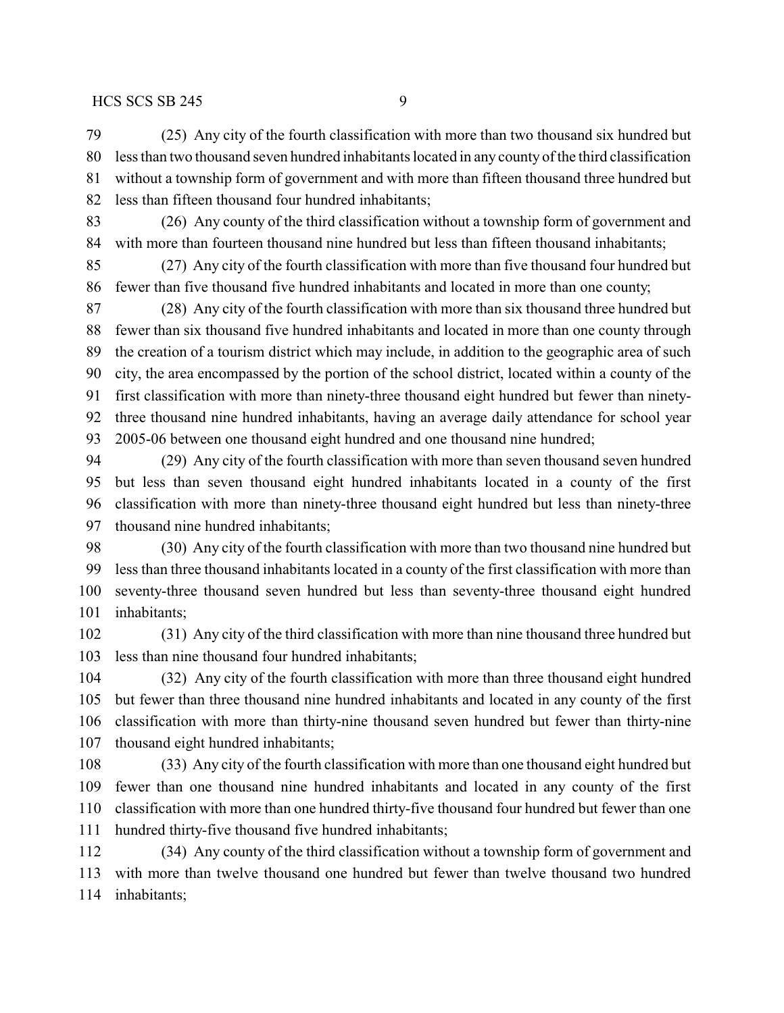(25) Any city of the fourth classification with more than two thousand six hundred but less than two thousand seven hundred inhabitants located in any county of the third classification without a township form of government and with more than fifteen thousand three hundred but less than fifteen thousand four hundred inhabitants;

 (26) Any county of the third classification without a township form of government and with more than fourteen thousand nine hundred but less than fifteen thousand inhabitants;

 (27) Any city of the fourth classification with more than five thousand four hundred but fewer than five thousand five hundred inhabitants and located in more than one county;

 (28) Any city of the fourth classification with more than six thousand three hundred but fewer than six thousand five hundred inhabitants and located in more than one county through the creation of a tourism district which may include, in addition to the geographic area of such city, the area encompassed by the portion of the school district, located within a county of the first classification with more than ninety-three thousand eight hundred but fewer than ninety- three thousand nine hundred inhabitants, having an average daily attendance for school year 2005-06 between one thousand eight hundred and one thousand nine hundred;

 (29) Any city of the fourth classification with more than seven thousand seven hundred but less than seven thousand eight hundred inhabitants located in a county of the first classification with more than ninety-three thousand eight hundred but less than ninety-three thousand nine hundred inhabitants;

 (30) Any city of the fourth classification with more than two thousand nine hundred but less than three thousand inhabitants located in a county of the first classification with more than seventy-three thousand seven hundred but less than seventy-three thousand eight hundred inhabitants;

 (31) Any city of the third classification with more than nine thousand three hundred but less than nine thousand four hundred inhabitants;

 (32) Any city of the fourth classification with more than three thousand eight hundred but fewer than three thousand nine hundred inhabitants and located in any county of the first classification with more than thirty-nine thousand seven hundred but fewer than thirty-nine thousand eight hundred inhabitants;

 (33) Any city of the fourth classification with more than one thousand eight hundred but fewer than one thousand nine hundred inhabitants and located in any county of the first classification with more than one hundred thirty-five thousand four hundred but fewer than one hundred thirty-five thousand five hundred inhabitants;

 (34) Any county of the third classification without a township form of government and with more than twelve thousand one hundred but fewer than twelve thousand two hundred inhabitants;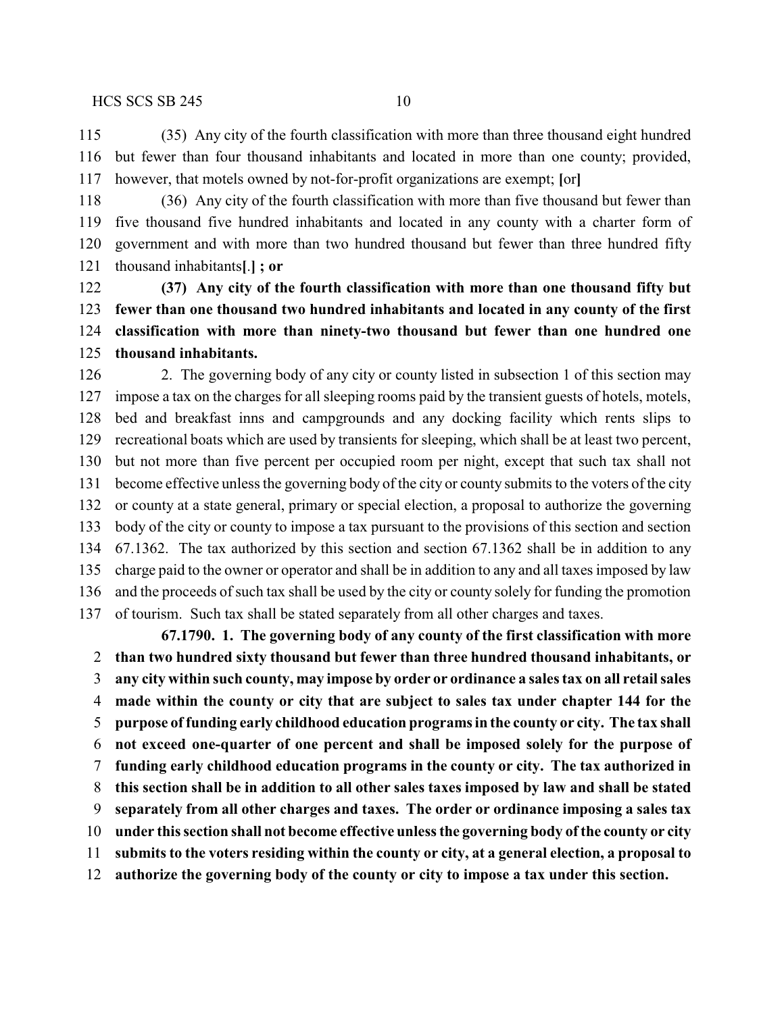(35) Any city of the fourth classification with more than three thousand eight hundred but fewer than four thousand inhabitants and located in more than one county; provided, however, that motels owned by not-for-profit organizations are exempt; **[**or**]**

 (36) Any city of the fourth classification with more than five thousand but fewer than five thousand five hundred inhabitants and located in any county with a charter form of government and with more than two hundred thousand but fewer than three hundred fifty thousand inhabitants**[**.**] ; or**

 **(37) Any city of the fourth classification with more than one thousand fifty but fewer than one thousand two hundred inhabitants and located in any county of the first classification with more than ninety-two thousand but fewer than one hundred one thousand inhabitants.**

 2. The governing body of any city or county listed in subsection 1 of this section may impose a tax on the charges for all sleeping rooms paid by the transient guests of hotels, motels, bed and breakfast inns and campgrounds and any docking facility which rents slips to recreational boats which are used by transients for sleeping, which shall be at least two percent, but not more than five percent per occupied room per night, except that such tax shall not become effective unless the governing body of the city or county submits to the voters of the city or county at a state general, primary or special election, a proposal to authorize the governing body of the city or county to impose a tax pursuant to the provisions of this section and section 67.1362. The tax authorized by this section and section 67.1362 shall be in addition to any charge paid to the owner or operator and shall be in addition to any and all taxes imposed by law and the proceeds of such tax shall be used by the city or county solely for funding the promotion of tourism. Such tax shall be stated separately from all other charges and taxes.

**67.1790. 1. The governing body of any county of the first classification with more than two hundred sixty thousand but fewer than three hundred thousand inhabitants, or any city within such county, may impose by order or ordinance a sales tax on all retail sales made within the county or city that are subject to sales tax under chapter 144 for the purpose offunding early childhood education programs in the county or city. The tax shall not exceed one-quarter of one percent and shall be imposed solely for the purpose of funding early childhood education programs in the county or city. The tax authorized in this section shall be in addition to all other sales taxes imposed by law and shall be stated separately from all other charges and taxes. The order or ordinance imposing a sales tax under this section shall not become effective unless the governing body of the county or city submits to the voters residing within the county or city, at a general election, a proposal to authorize the governing body of the county or city to impose a tax under this section.**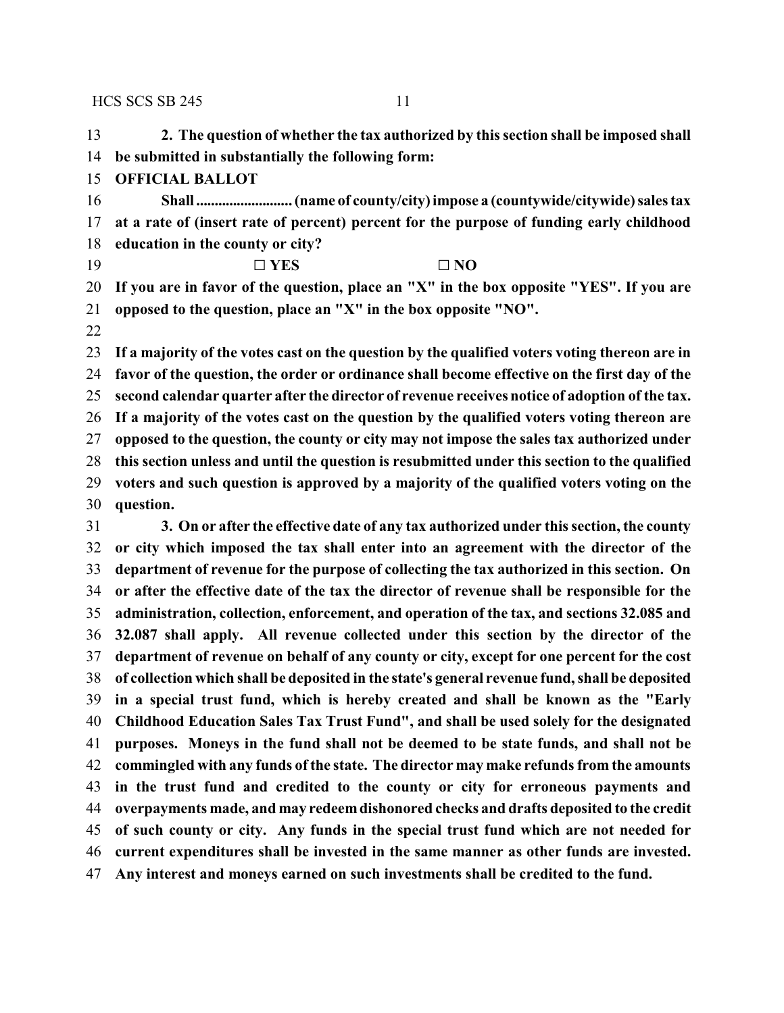**2. The question of whether the tax authorized by this section shall be imposed shall be submitted in substantially the following form:**

- **OFFICIAL BALLOT**
- **Shall .......................... (name of county/city) impose a (countywide/citywide) sales tax at a rate of (insert rate of percent) percent for the purpose of funding early childhood education in the county or city?**
- 19  $\square$  **YES**  $\square$  **NO**
- **If you are in favor of the question, place an "X" in the box opposite "YES". If you are opposed to the question, place an "X" in the box opposite "NO".**
- 

 **If a majority of the votes cast on the question by the qualified voters voting thereon are in favor of the question, the order or ordinance shall become effective on the first day of the second calendar quarter after the director of revenue receives notice of adoption of the tax. If a majority of the votes cast on the question by the qualified voters voting thereon are opposed to the question, the county or city may not impose the sales tax authorized under this section unless and until the question is resubmitted under this section to the qualified voters and such question is approved by a majority of the qualified voters voting on the question.**

 **3. On or after the effective date of any tax authorized under this section, the county or city which imposed the tax shall enter into an agreement with the director of the department of revenue for the purpose of collecting the tax authorized in this section. On or after the effective date of the tax the director of revenue shall be responsible for the administration, collection, enforcement, and operation of the tax, and sections 32.085 and 32.087 shall apply. All revenue collected under this section by the director of the department of revenue on behalf of any county or city, except for one percent for the cost of collection which shall be deposited in the state's general revenue fund, shall be deposited in a special trust fund, which is hereby created and shall be known as the "Early Childhood Education Sales Tax Trust Fund", and shall be used solely for the designated purposes. Moneys in the fund shall not be deemed to be state funds, and shall not be commingled with any funds of the state. The director may make refunds from the amounts in the trust fund and credited to the county or city for erroneous payments and overpayments made, and may redeemdishonored checks and drafts deposited to the credit of such county or city. Any funds in the special trust fund which are not needed for current expenditures shall be invested in the same manner as other funds are invested. Any interest and moneys earned on such investments shall be credited to the fund.**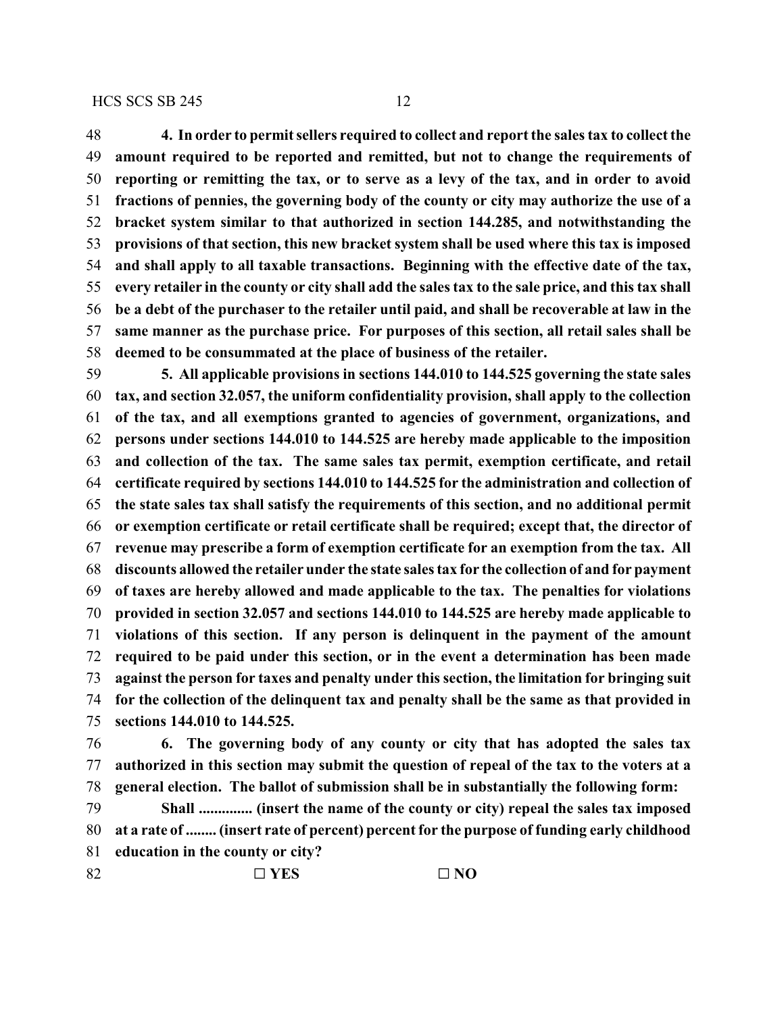**4. In order to permit sellers required to collect and report the sales tax to collect the amount required to be reported and remitted, but not to change the requirements of reporting or remitting the tax, or to serve as a levy of the tax, and in order to avoid fractions of pennies, the governing body of the county or city may authorize the use of a bracket system similar to that authorized in section 144.285, and notwithstanding the provisions of that section, this new bracket system shall be used where this tax is imposed and shall apply to all taxable transactions. Beginning with the effective date of the tax, every retailer in the county or city shall add the sales tax to the sale price, and this tax shall be a debt of the purchaser to the retailer until paid, and shall be recoverable at law in the same manner as the purchase price. For purposes of this section, all retail sales shall be deemed to be consummated at the place of business of the retailer.**

 **5. All applicable provisions in sections 144.010 to 144.525 governing the state sales tax, and section 32.057, the uniform confidentiality provision, shall apply to the collection of the tax, and all exemptions granted to agencies of government, organizations, and persons under sections 144.010 to 144.525 are hereby made applicable to the imposition and collection of the tax. The same sales tax permit, exemption certificate, and retail certificate required by sections 144.010 to 144.525 for the administration and collection of the state sales tax shall satisfy the requirements of this section, and no additional permit or exemption certificate or retail certificate shall be required; except that, the director of revenue may prescribe a form of exemption certificate for an exemption from the tax. All discounts allowed the retailer under the state sales tax for the collection of and for payment of taxes are hereby allowed and made applicable to the tax. The penalties for violations provided in section 32.057 and sections 144.010 to 144.525 are hereby made applicable to violations of this section. If any person is delinquent in the payment of the amount required to be paid under this section, or in the event a determination has been made against the person for taxes and penalty under this section, the limitation for bringing suit for the collection of the delinquent tax and penalty shall be the same as that provided in sections 144.010 to 144.525.**

 **6. The governing body of any county or city that has adopted the sales tax authorized in this section may submit the question of repeal of the tax to the voters at a general election. The ballot of submission shall be in substantially the following form:**

 **Shall .............. (insert the name of the county or city) repeal the sales tax imposed at a rate of ........ (insert rate of percent) percent for the purpose of funding early childhood education in the county or city?**

82 <del>□ YES</del> □ NO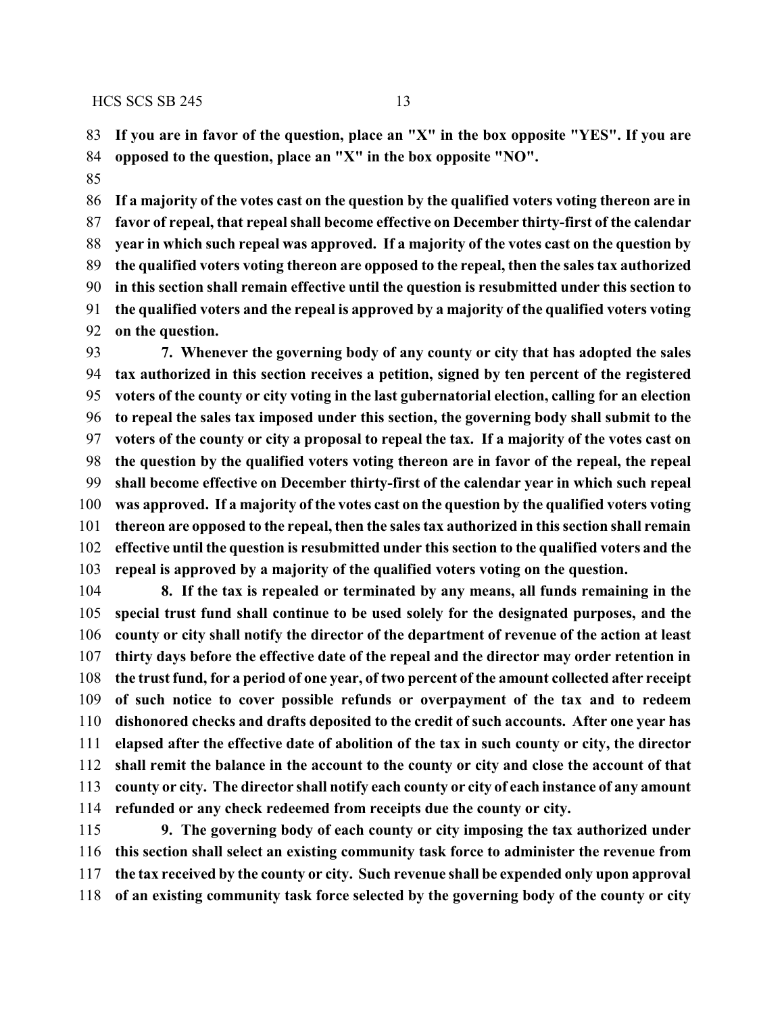**If you are in favor of the question, place an "X" in the box opposite "YES". If you are opposed to the question, place an "X" in the box opposite "NO".**

 **If a majority of the votes cast on the question by the qualified voters voting thereon are in favor of repeal, that repeal shall become effective on December thirty-first of the calendar year in which such repeal was approved. If a majority of the votes cast on the question by the qualified voters voting thereon are opposed to the repeal, then the sales tax authorized in this section shall remain effective until the question is resubmitted under this section to the qualified voters and the repeal is approved by a majority of the qualified voters voting on the question.**

 **7. Whenever the governing body of any county or city that has adopted the sales tax authorized in this section receives a petition, signed by ten percent of the registered voters of the county or city voting in the last gubernatorial election, calling for an election to repeal the sales tax imposed under this section, the governing body shall submit to the voters of the county or city a proposal to repeal the tax. If a majority of the votes cast on the question by the qualified voters voting thereon are in favor of the repeal, the repeal shall become effective on December thirty-first of the calendar year in which such repeal was approved. If a majority of the votes cast on the question by the qualified voters voting thereon are opposed to the repeal, then the sales tax authorized in this section shall remain effective until the question is resubmitted under this section to the qualified voters and the repeal is approved by a majority of the qualified voters voting on the question.**

 **8. If the tax is repealed or terminated by any means, all funds remaining in the special trust fund shall continue to be used solely for the designated purposes, and the county or city shall notify the director of the department of revenue of the action at least thirty days before the effective date of the repeal and the director may order retention in the trust fund, for a period of one year, of two percent of the amount collected after receipt of such notice to cover possible refunds or overpayment of the tax and to redeem dishonored checks and drafts deposited to the credit of such accounts. After one year has elapsed after the effective date of abolition of the tax in such county or city, the director shall remit the balance in the account to the county or city and close the account of that county or city. The director shall notify each county or city of each instance of any amount refunded or any check redeemed from receipts due the county or city.**

 **9. The governing body of each county or city imposing the tax authorized under this section shall select an existing community task force to administer the revenue from the tax received by the county or city. Such revenue shall be expended only upon approval of an existing community task force selected by the governing body of the county or city**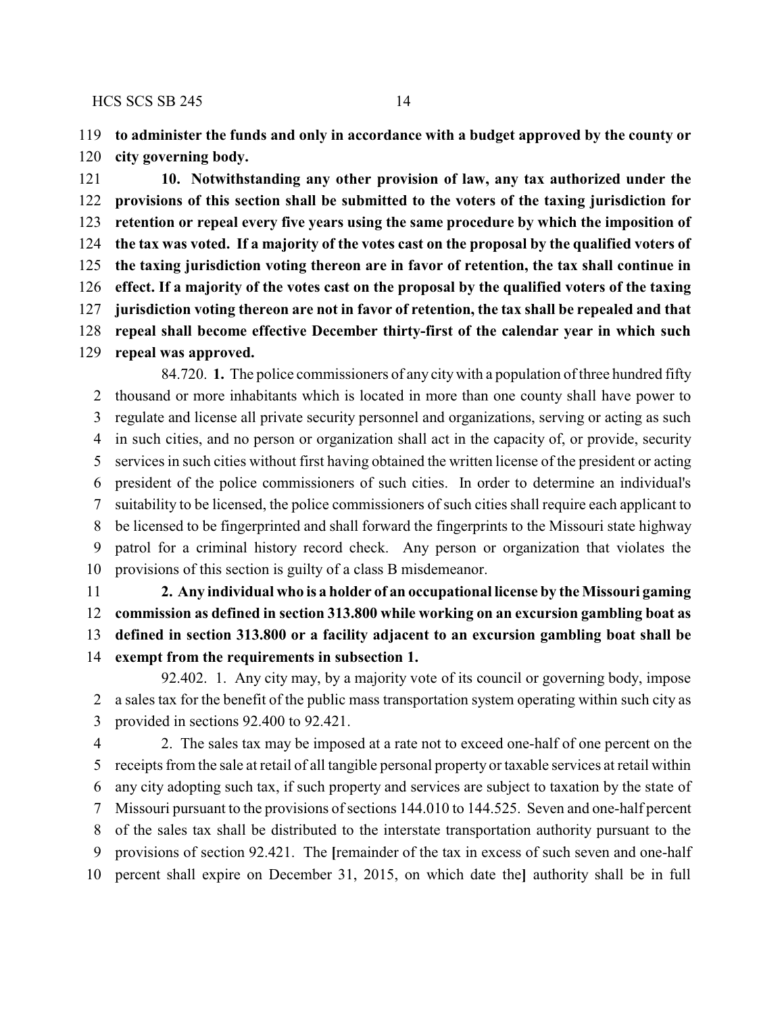**to administer the funds and only in accordance with a budget approved by the county or city governing body.**

 **10. Notwithstanding any other provision of law, any tax authorized under the provisions of this section shall be submitted to the voters of the taxing jurisdiction for retention or repeal every five years using the same procedure by which the imposition of the tax was voted. If a majority of the votes cast on the proposal by the qualified voters of the taxing jurisdiction voting thereon are in favor of retention, the tax shall continue in effect. If a majority of the votes cast on the proposal by the qualified voters of the taxing jurisdiction voting thereon are not in favor of retention, the tax shall be repealed and that repeal shall become effective December thirty-first of the calendar year in which such repeal was approved.**

84.720. **1.** The police commissioners of any citywith a population of three hundred fifty thousand or more inhabitants which is located in more than one county shall have power to regulate and license all private security personnel and organizations, serving or acting as such in such cities, and no person or organization shall act in the capacity of, or provide, security services in such cities without first having obtained the written license of the president or acting president of the police commissioners of such cities. In order to determine an individual's suitability to be licensed, the police commissioners of such cities shall require each applicant to be licensed to be fingerprinted and shall forward the fingerprints to the Missouri state highway patrol for a criminal history record check. Any person or organization that violates the provisions of this section is guilty of a class B misdemeanor.

 **2. Any individual who is a holder of an occupational license by the Missouri gaming commission as defined in section 313.800 while working on an excursion gambling boat as defined in section 313.800 or a facility adjacent to an excursion gambling boat shall be exempt from the requirements in subsection 1.**

92.402. 1. Any city may, by a majority vote of its council or governing body, impose a sales tax for the benefit of the public mass transportation system operating within such city as provided in sections 92.400 to 92.421.

 2. The sales tax may be imposed at a rate not to exceed one-half of one percent on the receipts from the sale at retail of all tangible personal property or taxable services at retail within any city adopting such tax, if such property and services are subject to taxation by the state of Missouri pursuant to the provisions of sections 144.010 to 144.525. Seven and one-half percent of the sales tax shall be distributed to the interstate transportation authority pursuant to the provisions of section 92.421. The **[**remainder of the tax in excess of such seven and one-half percent shall expire on December 31, 2015, on which date the**]** authority shall be in full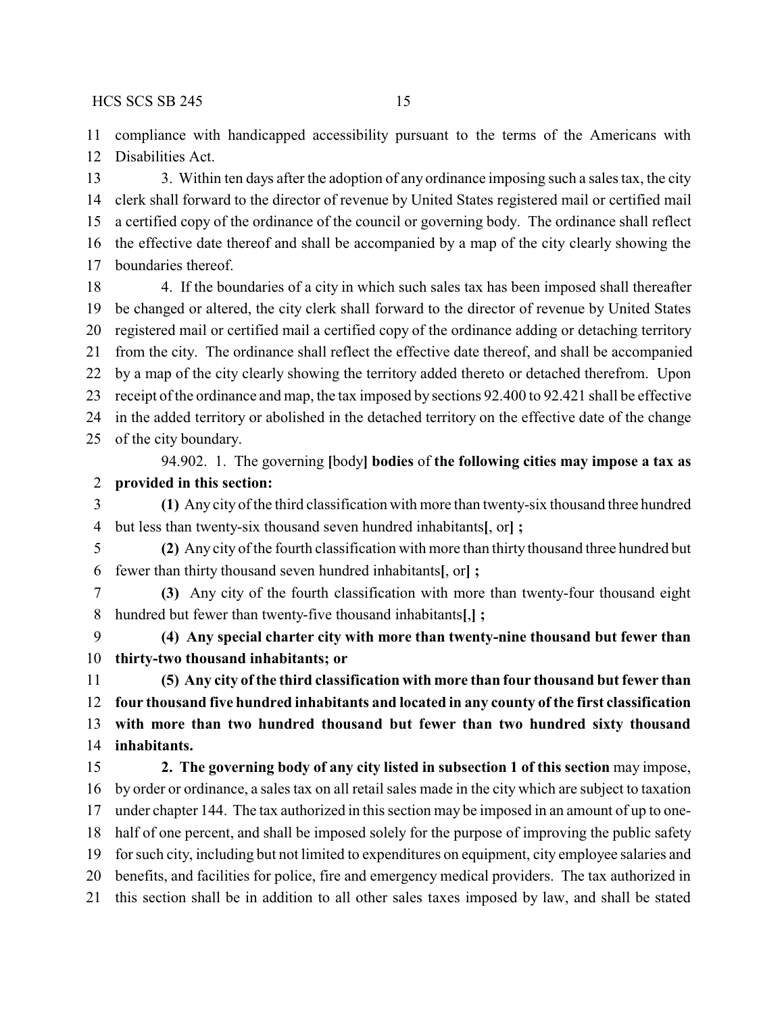compliance with handicapped accessibility pursuant to the terms of the Americans with Disabilities Act.

13 3. Within ten days after the adoption of any ordinance imposing such a sales tax, the city clerk shall forward to the director of revenue by United States registered mail or certified mail a certified copy of the ordinance of the council or governing body. The ordinance shall reflect the effective date thereof and shall be accompanied by a map of the city clearly showing the boundaries thereof.

18 4. If the boundaries of a city in which such sales tax has been imposed shall thereafter be changed or altered, the city clerk shall forward to the director of revenue by United States registered mail or certified mail a certified copy of the ordinance adding or detaching territory from the city. The ordinance shall reflect the effective date thereof, and shall be accompanied by a map of the city clearly showing the territory added thereto or detached therefrom. Upon receipt of the ordinance and map, the tax imposed by sections 92.400 to 92.421 shall be effective in the added territory or abolished in the detached territory on the effective date of the change of the city boundary.

### 94.902. 1. The governing **[**body**] bodies** of **the following cities may impose a tax as provided in this section:**

 **(1)** Any city of the third classification with more than twenty-six thousand three hundred but less than twenty-six thousand seven hundred inhabitants**[**, or**] ;**

 **(2)** Any city of the fourth classification with more than thirty thousand three hundred but fewer than thirty thousand seven hundred inhabitants**[**, or**] ;**

 **(3)** Any city of the fourth classification with more than twenty-four thousand eight hundred but fewer than twenty-five thousand inhabitants**[**,**] ;**

 **(4) Any special charter city with more than twenty-nine thousand but fewer than thirty-two thousand inhabitants; or**

 **(5) Any city of the third classification with more than four thousand but fewer than four thousand five hundred inhabitants and located in any county of the first classification with more than two hundred thousand but fewer than two hundred sixty thousand inhabitants.**

 **2. The governing body of any city listed in subsection 1 of this section** may impose, by order or ordinance, a sales tax on all retail sales made in the city which are subject to taxation under chapter 144. The tax authorized in this section may be imposed in an amount of up to one- half of one percent, and shall be imposed solely for the purpose of improving the public safety for such city, including but not limited to expenditures on equipment, city employee salaries and benefits, and facilities for police, fire and emergency medical providers. The tax authorized in this section shall be in addition to all other sales taxes imposed by law, and shall be stated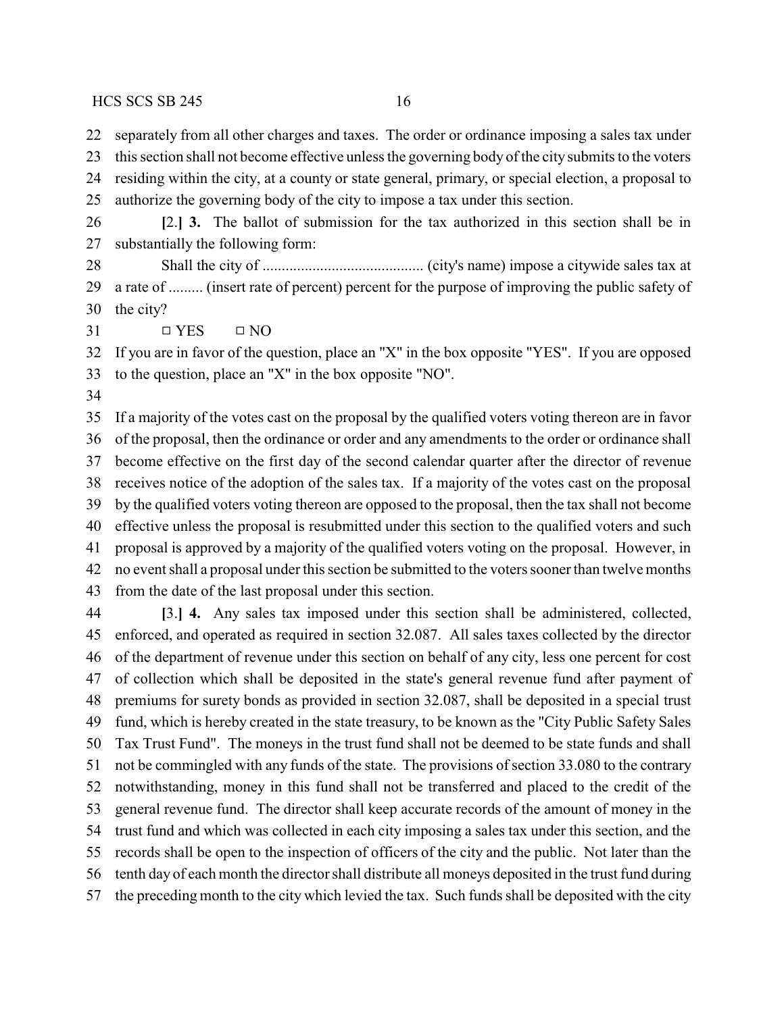separately from all other charges and taxes. The order or ordinance imposing a sales tax under

 this section shall not become effective unless the governing body of the citysubmits to the voters residing within the city, at a county or state general, primary, or special election, a proposal to

authorize the governing body of the city to impose a tax under this section.

 **[**2.**] 3.** The ballot of submission for the tax authorized in this section shall be in substantially the following form:

 Shall the city of .......................................... (city's name) impose a citywide sales tax at a rate of ......... (insert rate of percent) percent for the purpose of improving the public safety of the city?

 $31 \qquad \qquad \Box YES \qquad \Box NO$ 

 If you are in favor of the question, place an "X" in the box opposite "YES". If you are opposed to the question, place an "X" in the box opposite "NO".

 If a majority of the votes cast on the proposal by the qualified voters voting thereon are in favor of the proposal, then the ordinance or order and any amendments to the order or ordinance shall become effective on the first day of the second calendar quarter after the director of revenue receives notice of the adoption of the sales tax. If a majority of the votes cast on the proposal by the qualified voters voting thereon are opposed to the proposal, then the tax shall not become effective unless the proposal is resubmitted under this section to the qualified voters and such proposal is approved by a majority of the qualified voters voting on the proposal. However, in no event shall a proposal under this section be submitted to the voters sooner than twelve months from the date of the last proposal under this section.

 **[**3.**] 4.** Any sales tax imposed under this section shall be administered, collected, enforced, and operated as required in section 32.087. All sales taxes collected by the director of the department of revenue under this section on behalf of any city, less one percent for cost of collection which shall be deposited in the state's general revenue fund after payment of premiums for surety bonds as provided in section 32.087, shall be deposited in a special trust fund, which is hereby created in the state treasury, to be known as the "City Public Safety Sales Tax Trust Fund". The moneys in the trust fund shall not be deemed to be state funds and shall not be commingled with any funds of the state. The provisions of section 33.080 to the contrary notwithstanding, money in this fund shall not be transferred and placed to the credit of the general revenue fund. The director shall keep accurate records of the amount of money in the trust fund and which was collected in each city imposing a sales tax under this section, and the records shall be open to the inspection of officers of the city and the public. Not later than the tenth day of each month the director shall distribute all moneys deposited in the trust fund during the preceding month to the city which levied the tax. Such funds shall be deposited with the city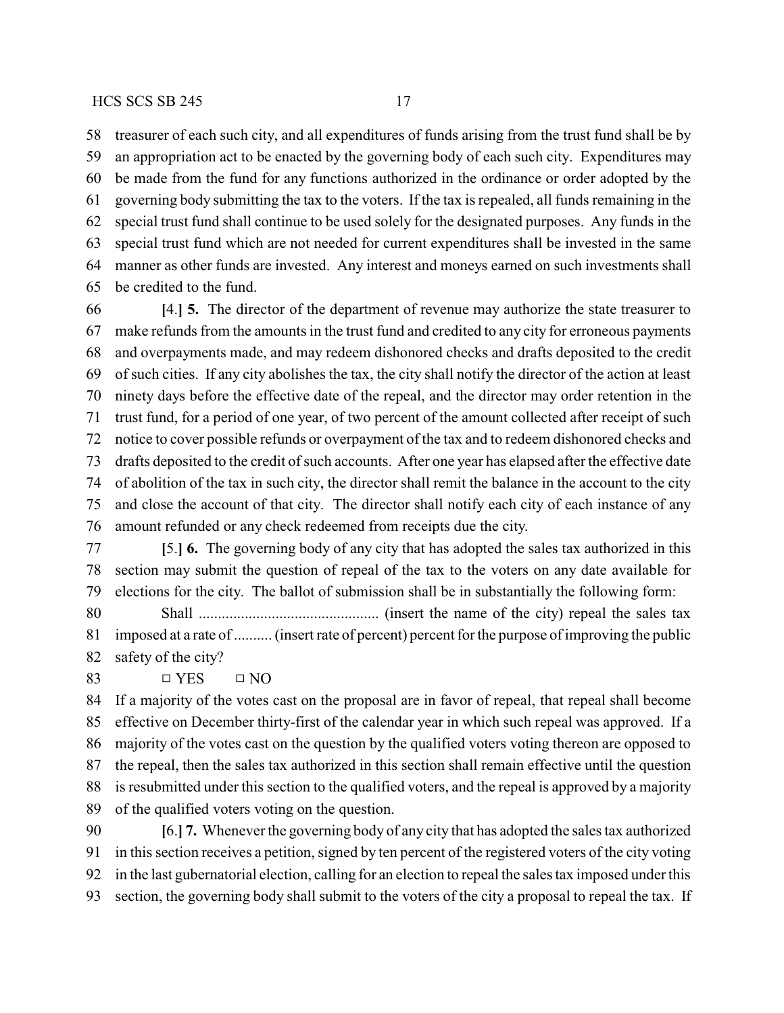treasurer of each such city, and all expenditures of funds arising from the trust fund shall be by an appropriation act to be enacted by the governing body of each such city. Expenditures may be made from the fund for any functions authorized in the ordinance or order adopted by the governing body submitting the tax to the voters. If the tax is repealed, all funds remaining in the special trust fund shall continue to be used solely for the designated purposes. Any funds in the special trust fund which are not needed for current expenditures shall be invested in the same manner as other funds are invested. Any interest and moneys earned on such investments shall be credited to the fund.

 **[**4.**] 5.** The director of the department of revenue may authorize the state treasurer to make refunds from the amounts in the trust fund and credited to any city for erroneous payments and overpayments made, and may redeem dishonored checks and drafts deposited to the credit of such cities. If any city abolishes the tax, the city shall notify the director of the action at least ninety days before the effective date of the repeal, and the director may order retention in the trust fund, for a period of one year, of two percent of the amount collected after receipt of such notice to cover possible refunds or overpayment of the tax and to redeem dishonored checks and drafts deposited to the credit of such accounts. After one year has elapsed after the effective date of abolition of the tax in such city, the director shall remit the balance in the account to the city and close the account of that city. The director shall notify each city of each instance of any amount refunded or any check redeemed from receipts due the city.

 **[**5.**] 6.** The governing body of any city that has adopted the sales tax authorized in this section may submit the question of repeal of the tax to the voters on any date available for elections for the city. The ballot of submission shall be in substantially the following form:

 Shall ............................................... (insert the name of the city) repeal the sales tax imposed at a rate of .......... (insert rate of percent) percent for the purpose of improving the public safety of the city?

83  $\Box$  YES  $\Box$  NO

 If a majority of the votes cast on the proposal are in favor of repeal, that repeal shall become effective on December thirty-first of the calendar year in which such repeal was approved. If a majority of the votes cast on the question by the qualified voters voting thereon are opposed to the repeal, then the sales tax authorized in this section shall remain effective until the question is resubmitted under this section to the qualified voters, and the repeal is approved by a majority of the qualified voters voting on the question.

 **[**6.**] 7.** Whenever the governing body of any city that has adopted the sales tax authorized in this section receives a petition, signed by ten percent of the registered voters of the city voting in the last gubernatorial election, calling for an election to repeal the sales tax imposed under this section, the governing body shall submit to the voters of the city a proposal to repeal the tax. If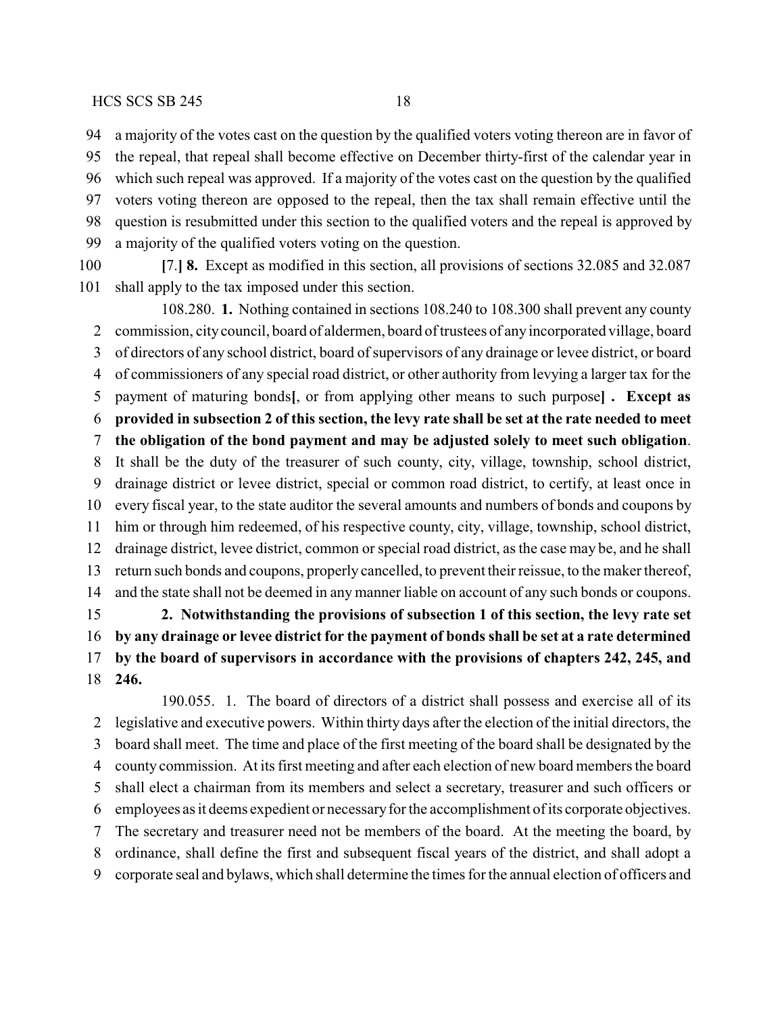a majority of the votes cast on the question by the qualified voters voting thereon are in favor of the repeal, that repeal shall become effective on December thirty-first of the calendar year in which such repeal was approved. If a majority of the votes cast on the question by the qualified voters voting thereon are opposed to the repeal, then the tax shall remain effective until the question is resubmitted under this section to the qualified voters and the repeal is approved by a majority of the qualified voters voting on the question.

 **[**7.**] 8.** Except as modified in this section, all provisions of sections 32.085 and 32.087 shall apply to the tax imposed under this section.

108.280. **1.** Nothing contained in sections 108.240 to 108.300 shall prevent any county commission, citycouncil, board of aldermen, board of trustees of any incorporated village, board of directors of any school district, board of supervisors of any drainage or levee district, or board of commissioners of any special road district, or other authority from levying a larger tax for the payment of maturing bonds**[**, or from applying other means to such purpose**] . Except as provided in subsection 2 of this section, the levy rate shall be set at the rate needed to meet the obligation of the bond payment and may be adjusted solely to meet such obligation**. It shall be the duty of the treasurer of such county, city, village, township, school district, drainage district or levee district, special or common road district, to certify, at least once in every fiscal year, to the state auditor the several amounts and numbers of bonds and coupons by him or through him redeemed, of his respective county, city, village, township, school district, drainage district, levee district, common or special road district, as the case may be, and he shall return such bonds and coupons, properly cancelled, to prevent their reissue, to the maker thereof, and the state shall not be deemed in any manner liable on account of any such bonds or coupons. **2. Notwithstanding the provisions of subsection 1 of this section, the levy rate set by any drainage or levee district for the payment of bonds shall be set at a rate determined**

 **by the board of supervisors in accordance with the provisions of chapters 242, 245, and 246.**

190.055. 1. The board of directors of a district shall possess and exercise all of its legislative and executive powers. Within thirty days after the election of the initial directors, the board shall meet. The time and place of the first meeting of the board shall be designated by the county commission. At its first meeting and after each election of new board members the board shall elect a chairman from its members and select a secretary, treasurer and such officers or employees as it deems expedient or necessaryfor the accomplishment of its corporate objectives. The secretary and treasurer need not be members of the board. At the meeting the board, by ordinance, shall define the first and subsequent fiscal years of the district, and shall adopt a corporate seal and bylaws, which shall determine the times for the annual election of officers and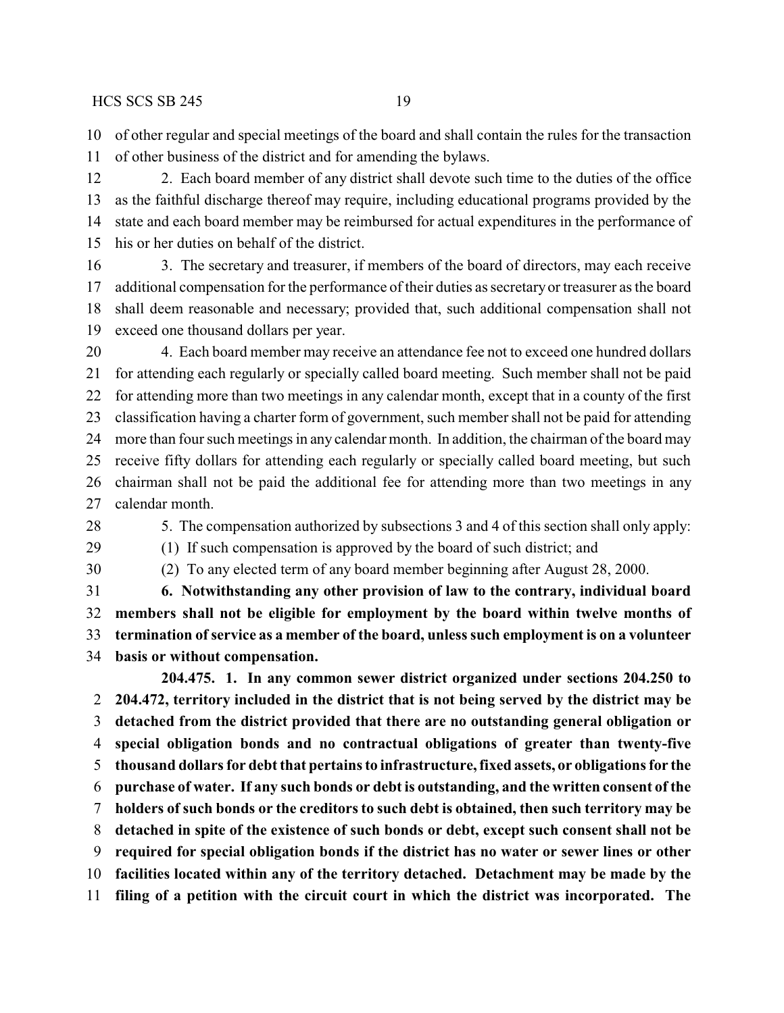of other regular and special meetings of the board and shall contain the rules for the transaction of other business of the district and for amending the bylaws.

12 2. Each board member of any district shall devote such time to the duties of the office as the faithful discharge thereof may require, including educational programs provided by the state and each board member may be reimbursed for actual expenditures in the performance of his or her duties on behalf of the district.

 3. The secretary and treasurer, if members of the board of directors, may each receive additional compensation for the performance of their duties as secretaryor treasurer as the board shall deem reasonable and necessary; provided that, such additional compensation shall not exceed one thousand dollars per year.

 4. Each board member may receive an attendance fee not to exceed one hundred dollars for attending each regularly or specially called board meeting. Such member shall not be paid for attending more than two meetings in any calendar month, except that in a county of the first classification having a charter form of government, such member shall not be paid for attending more than four such meetings in any calendar month. In addition, the chairman of the board may receive fifty dollars for attending each regularly or specially called board meeting, but such chairman shall not be paid the additional fee for attending more than two meetings in any calendar month.

5. The compensation authorized by subsections 3 and 4 of this section shall only apply:

(1) If such compensation is approved by the board of such district; and

(2) To any elected term of any board member beginning after August 28, 2000.

 **6. Notwithstanding any other provision of law to the contrary, individual board members shall not be eligible for employment by the board within twelve months of termination ofservice as a member of the board, unless such employment is on a volunteer basis or without compensation.**

**204.475. 1. In any common sewer district organized under sections 204.250 to 204.472, territory included in the district that is not being served by the district may be detached from the district provided that there are no outstanding general obligation or special obligation bonds and no contractual obligations of greater than twenty-five thousand dollars for debt that pertains to infrastructure, fixed assets, or obligations for the purchase of water. If any such bonds or debt is outstanding, and the written consent of the holders of such bonds or the creditors to such debt is obtained, then such territory may be detached in spite of the existence of such bonds or debt, except such consent shall not be required for special obligation bonds if the district has no water or sewer lines or other facilities located within any of the territory detached. Detachment may be made by the filing of a petition with the circuit court in which the district was incorporated. The**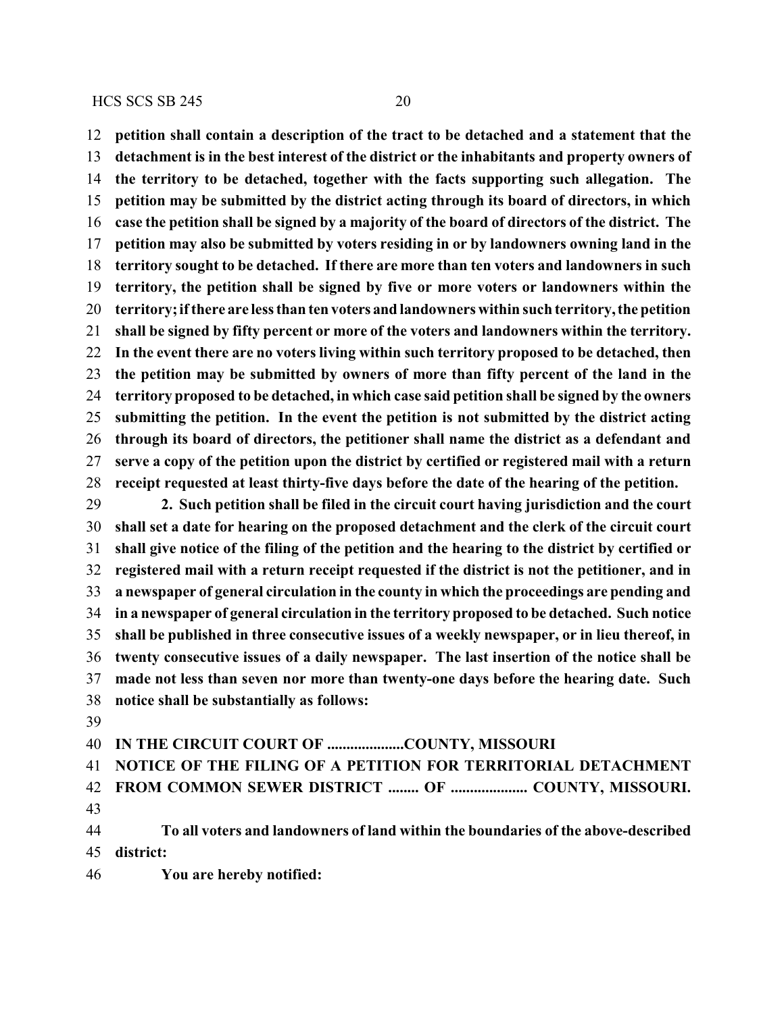**petition shall contain a description of the tract to be detached and a statement that the detachment is in the best interest of the district or the inhabitants and property owners of the territory to be detached, together with the facts supporting such allegation. The petition may be submitted by the district acting through its board of directors, in which case the petition shall be signed by a majority of the board of directors of the district. The petition may also be submitted by voters residing in or by landowners owning land in the territory sought to be detached. If there are more than ten voters and landowners in such territory, the petition shall be signed by five or more voters or landowners within the territory; ifthere are less than ten voters and landowners within such territory, the petition shall be signed by fifty percent or more of the voters and landowners within the territory. In the event there are no voters living within such territory proposed to be detached, then the petition may be submitted by owners of more than fifty percent of the land in the territory proposed to be detached, in which case said petition shall be signed by the owners submitting the petition. In the event the petition is not submitted by the district acting through its board of directors, the petitioner shall name the district as a defendant and serve a copy of the petition upon the district by certified or registered mail with a return receipt requested at least thirty-five days before the date of the hearing of the petition.**

 **2. Such petition shall be filed in the circuit court having jurisdiction and the court shall set a date for hearing on the proposed detachment and the clerk of the circuit court shall give notice of the filing of the petition and the hearing to the district by certified or registered mail with a return receipt requested if the district is not the petitioner, and in a newspaper of general circulation in the county in which the proceedings are pending and in a newspaper of general circulation in the territory proposed to be detached. Such notice shall be published in three consecutive issues of a weekly newspaper, or in lieu thereof, in twenty consecutive issues of a daily newspaper. The last insertion of the notice shall be made not less than seven nor more than twenty-one days before the hearing date. Such notice shall be substantially as follows:**

**IN THE CIRCUIT COURT OF ....................COUNTY, MISSOURI**

**NOTICE OF THE FILING OF A PETITION FOR TERRITORIAL DETACHMENT**

 **FROM COMMON SEWER DISTRICT ........ OF .................... COUNTY, MISSOURI.** 

 **To all voters and landowners of land within the boundaries of the above-described district:**

**You are hereby notified:**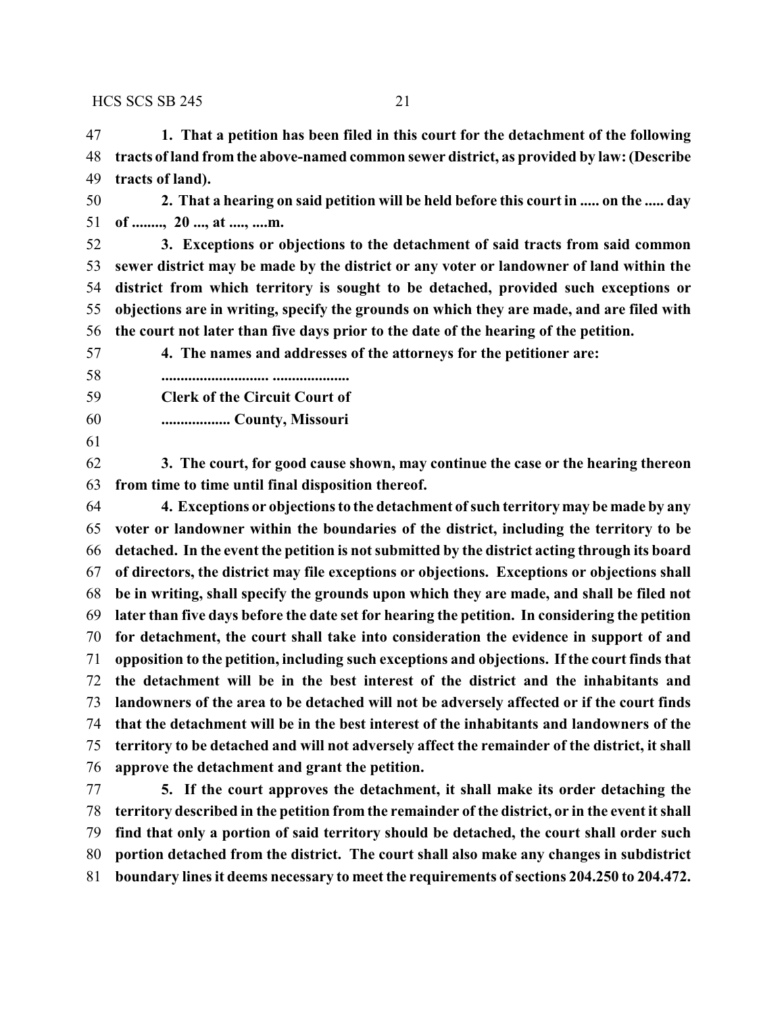**1. That a petition has been filed in this court for the detachment of the following tracts of land from the above-named common sewer district, as provided by law: (Describe tracts of land).**

 **2. That a hearing on said petition will be held before this court in ..... on the ..... day of ........, 20 ..., at ...., ....m.**

 **3. Exceptions or objections to the detachment of said tracts from said common sewer district may be made by the district or any voter or landowner of land within the district from which territory is sought to be detached, provided such exceptions or objections are in writing, specify the grounds on which they are made, and are filed with the court not later than five days prior to the date of the hearing of the petition.**

**4. The names and addresses of the attorneys for the petitioner are:**

- **............................ ....................**
- **Clerk of the Circuit Court of**
- **.................. County, Missouri**
- 

 **3. The court, for good cause shown, may continue the case or the hearing thereon from time to time until final disposition thereof.**

 **4. Exceptions or objections to the detachment ofsuch territory may be made by any voter or landowner within the boundaries of the district, including the territory to be detached. In the event the petition is not submitted by the district acting through its board of directors, the district may file exceptions or objections. Exceptions or objections shall be in writing, shall specify the grounds upon which they are made, and shall be filed not later than five days before the date set for hearing the petition. In considering the petition for detachment, the court shall take into consideration the evidence in support of and opposition to the petition, including such exceptions and objections. If the court finds that the detachment will be in the best interest of the district and the inhabitants and landowners of the area to be detached will not be adversely affected or if the court finds that the detachment will be in the best interest of the inhabitants and landowners of the territory to be detached and will not adversely affect the remainder of the district, it shall approve the detachment and grant the petition.**

 **5. If the court approves the detachment, it shall make its order detaching the territory described in the petition from the remainder of the district, or in the event it shall find that only a portion of said territory should be detached, the court shall order such portion detached from the district. The court shall also make any changes in subdistrict boundary lines it deems necessary to meet the requirements of sections 204.250 to 204.472.**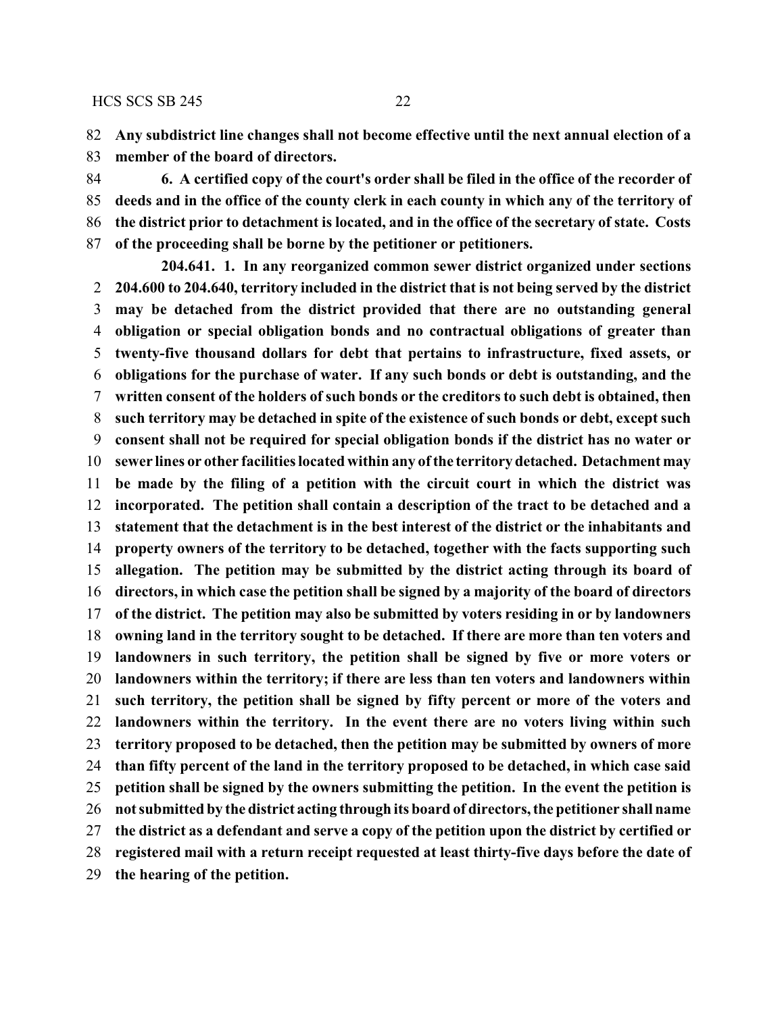**Any subdistrict line changes shall not become effective until the next annual election of a**

**member of the board of directors.**

 **6. A certified copy of the court's order shall be filed in the office of the recorder of deeds and in the office of the county clerk in each county in which any of the territory of the district prior to detachment is located, and in the office of the secretary of state. Costs of the proceeding shall be borne by the petitioner or petitioners.**

**204.641. 1. In any reorganized common sewer district organized under sections 204.600 to 204.640, territory included in the district that is not being served by the district may be detached from the district provided that there are no outstanding general obligation or special obligation bonds and no contractual obligations of greater than twenty-five thousand dollars for debt that pertains to infrastructure, fixed assets, or obligations for the purchase of water. If any such bonds or debt is outstanding, and the written consent of the holders of such bonds or the creditors to such debt is obtained, then such territory may be detached in spite of the existence of such bonds or debt, except such consent shall not be required for special obligation bonds if the district has no water or sewer lines or other facilities located within any ofthe territory detached. Detachment may be made by the filing of a petition with the circuit court in which the district was incorporated. The petition shall contain a description of the tract to be detached and a statement that the detachment is in the best interest of the district or the inhabitants and property owners of the territory to be detached, together with the facts supporting such allegation. The petition may be submitted by the district acting through its board of directors, in which case the petition shall be signed by a majority of the board of directors of the district. The petition may also be submitted by voters residing in or by landowners owning land in the territory sought to be detached. If there are more than ten voters and landowners in such territory, the petition shall be signed by five or more voters or landowners within the territory; if there are less than ten voters and landowners within such territory, the petition shall be signed by fifty percent or more of the voters and landowners within the territory. In the event there are no voters living within such territory proposed to be detached, then the petition may be submitted by owners of more than fifty percent of the land in the territory proposed to be detached, in which case said petition shall be signed by the owners submitting the petition. In the event the petition is not submitted by the district acting through its board of directors, the petitioner shall name the district as a defendant and serve a copy of the petition upon the district by certified or registered mail with a return receipt requested at least thirty-five days before the date of the hearing of the petition.**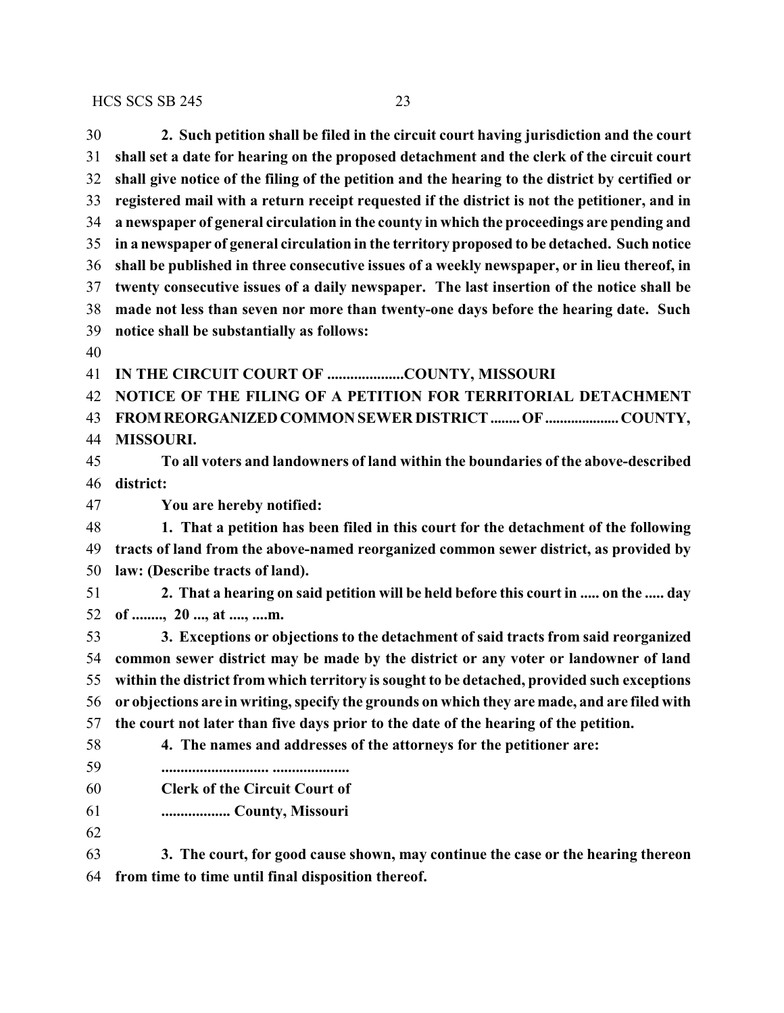| 30 | 2. Such petition shall be filed in the circuit court having jurisdiction and the court          |
|----|-------------------------------------------------------------------------------------------------|
| 31 | shall set a date for hearing on the proposed detachment and the clerk of the circuit court      |
| 32 | shall give notice of the filing of the petition and the hearing to the district by certified or |
| 33 | registered mail with a return receipt requested if the district is not the petitioner, and in   |
| 34 | a newspaper of general circulation in the county in which the proceedings are pending and       |
| 35 | in a newspaper of general circulation in the territory proposed to be detached. Such notice     |
| 36 | shall be published in three consecutive issues of a weekly newspaper, or in lieu thereof, in    |
| 37 | twenty consecutive issues of a daily newspaper. The last insertion of the notice shall be       |
| 38 | made not less than seven nor more than twenty-one days before the hearing date. Such            |
| 39 | notice shall be substantially as follows:                                                       |
| 40 |                                                                                                 |
| 41 | IN THE CIRCUIT COURT OF COUNTY, MISSOURI                                                        |
| 42 | NOTICE OF THE FILING OF A PETITION FOR TERRITORIAL DETACHMENT                                   |
| 43 | FROM REORGANIZED COMMON SEWER DISTRICT  OF  COUNTY,                                             |
| 44 | <b>MISSOURI.</b>                                                                                |
| 45 | To all voters and landowners of land within the boundaries of the above-described               |
| 46 | district:                                                                                       |
| 47 | You are hereby notified:                                                                        |
| 48 | 1. That a petition has been filed in this court for the detachment of the following             |
| 49 | tracts of land from the above-named reorganized common sewer district, as provided by           |
| 50 | law: (Describe tracts of land).                                                                 |
| 51 | 2. That a hearing on said petition will be held before this court in  on the  day               |
| 52 | of , 20 , at , m.                                                                               |
| 53 | 3. Exceptions or objections to the detachment of said tracts from said reorganized              |
| 54 | common sewer district may be made by the district or any voter or landowner of land             |
| 55 | within the district from which territory is sought to be detached, provided such exceptions     |
| 56 | or objections are in writing, specify the grounds on which they are made, and are filed with    |
| 57 | the court not later than five days prior to the date of the hearing of the petition.            |
| 58 | 4. The names and addresses of the attorneys for the petitioner are:                             |
| 59 |                                                                                                 |
| 60 | <b>Clerk of the Circuit Court of</b>                                                            |
| 61 | County, Missouri                                                                                |
| 62 |                                                                                                 |
| 63 | 3. The court, for good cause shown, may continue the case or the hearing thereon                |

**from time to time until final disposition thereof.**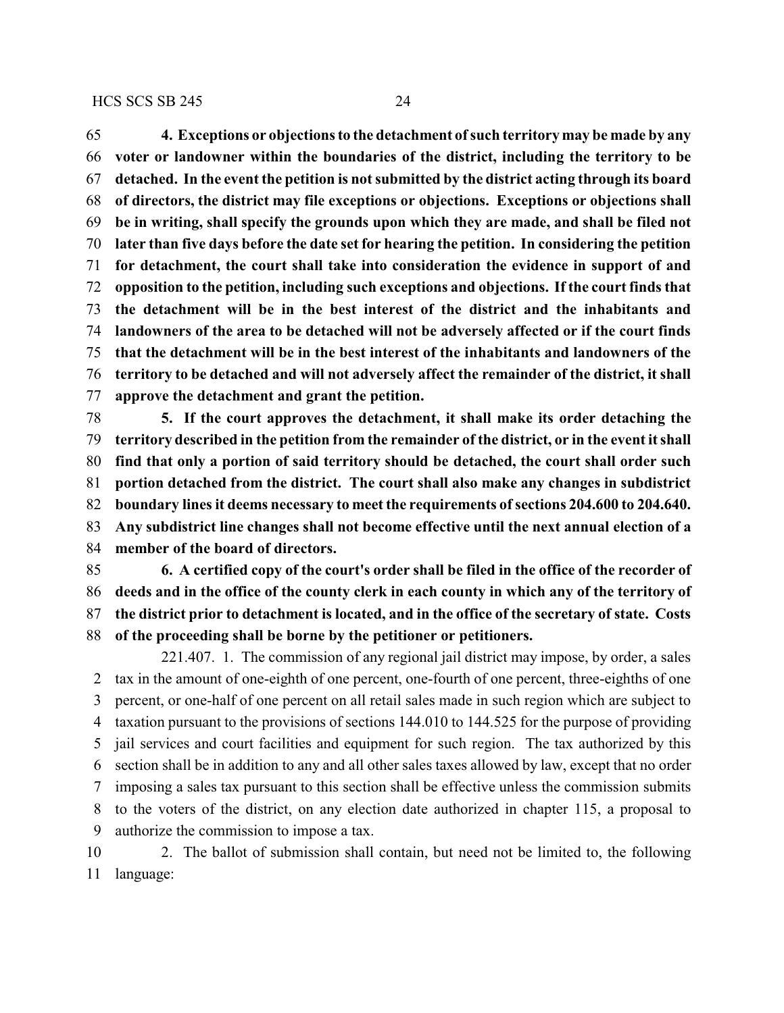**4. Exceptions or objections to the detachment ofsuch territory may be made by any voter or landowner within the boundaries of the district, including the territory to be detached. In the event the petition is not submitted by the district acting through its board of directors, the district may file exceptions or objections. Exceptions or objections shall be in writing, shall specify the grounds upon which they are made, and shall be filed not later than five days before the date set for hearing the petition. In considering the petition for detachment, the court shall take into consideration the evidence in support of and opposition to the petition, including such exceptions and objections. If the court finds that the detachment will be in the best interest of the district and the inhabitants and landowners of the area to be detached will not be adversely affected or if the court finds that the detachment will be in the best interest of the inhabitants and landowners of the territory to be detached and will not adversely affect the remainder of the district, it shall approve the detachment and grant the petition.**

 **5. If the court approves the detachment, it shall make its order detaching the territory described in the petition from the remainder of the district, or in the event it shall find that only a portion of said territory should be detached, the court shall order such portion detached from the district. The court shall also make any changes in subdistrict** 82 boundary lines it deems necessary to meet the requirements of sections 204.600 to 204.640. **Any subdistrict line changes shall not become effective until the next annual election of a member of the board of directors.**

 **6. A certified copy of the court's order shall be filed in the office of the recorder of deeds and in the office of the county clerk in each county in which any of the territory of the district prior to detachment is located, and in the office of the secretary of state. Costs of the proceeding shall be borne by the petitioner or petitioners.**

221.407. 1. The commission of any regional jail district may impose, by order, a sales tax in the amount of one-eighth of one percent, one-fourth of one percent, three-eighths of one percent, or one-half of one percent on all retail sales made in such region which are subject to taxation pursuant to the provisions of sections 144.010 to 144.525 for the purpose of providing jail services and court facilities and equipment for such region. The tax authorized by this section shall be in addition to any and all other sales taxes allowed by law, except that no order imposing a sales tax pursuant to this section shall be effective unless the commission submits to the voters of the district, on any election date authorized in chapter 115, a proposal to authorize the commission to impose a tax.

 2. The ballot of submission shall contain, but need not be limited to, the following language: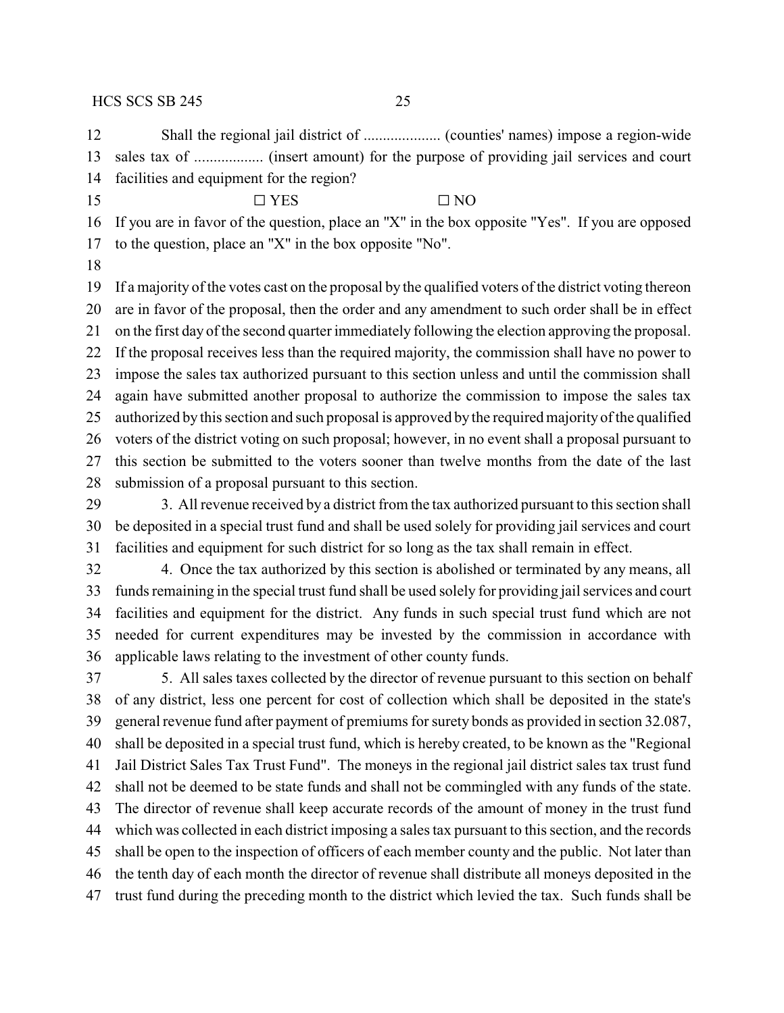Shall the regional jail district of .................... (counties' names) impose a region-wide sales tax of .................. (insert amount) for the purpose of providing jail services and court facilities and equipment for the region?

15  $\Box$  YES  $\Box$  NO

If you are in favor of the question, place an "X" in the box opposite "Yes". If you are opposed

to the question, place an "X" in the box opposite "No".

 If a majority of the votes cast on the proposal by the qualified voters of the district voting thereon are in favor of the proposal, then the order and any amendment to such order shall be in effect on the first day of the second quarter immediately following the election approving the proposal. If the proposal receives less than the required majority, the commission shall have no power to impose the sales tax authorized pursuant to this section unless and until the commission shall again have submitted another proposal to authorize the commission to impose the sales tax authorized by this section and such proposal is approved by the required majority of the qualified voters of the district voting on such proposal; however, in no event shall a proposal pursuant to this section be submitted to the voters sooner than twelve months from the date of the last submission of a proposal pursuant to this section.

 3. All revenue received by a district from the tax authorized pursuant to this section shall be deposited in a special trust fund and shall be used solely for providing jail services and court facilities and equipment for such district for so long as the tax shall remain in effect.

 4. Once the tax authorized by this section is abolished or terminated by any means, all funds remaining in the special trust fund shall be used solely for providing jail services and court facilities and equipment for the district. Any funds in such special trust fund which are not needed for current expenditures may be invested by the commission in accordance with applicable laws relating to the investment of other county funds.

 5. All sales taxes collected by the director of revenue pursuant to this section on behalf of any district, less one percent for cost of collection which shall be deposited in the state's general revenue fund after payment of premiums for surety bonds as provided in section 32.087, shall be deposited in a special trust fund, which is hereby created, to be known as the "Regional Jail District Sales Tax Trust Fund". The moneys in the regional jail district sales tax trust fund shall not be deemed to be state funds and shall not be commingled with any funds of the state. The director of revenue shall keep accurate records of the amount of money in the trust fund which was collected in each district imposing a sales tax pursuant to this section, and the records shall be open to the inspection of officers of each member county and the public. Not later than the tenth day of each month the director of revenue shall distribute all moneys deposited in the trust fund during the preceding month to the district which levied the tax. Such funds shall be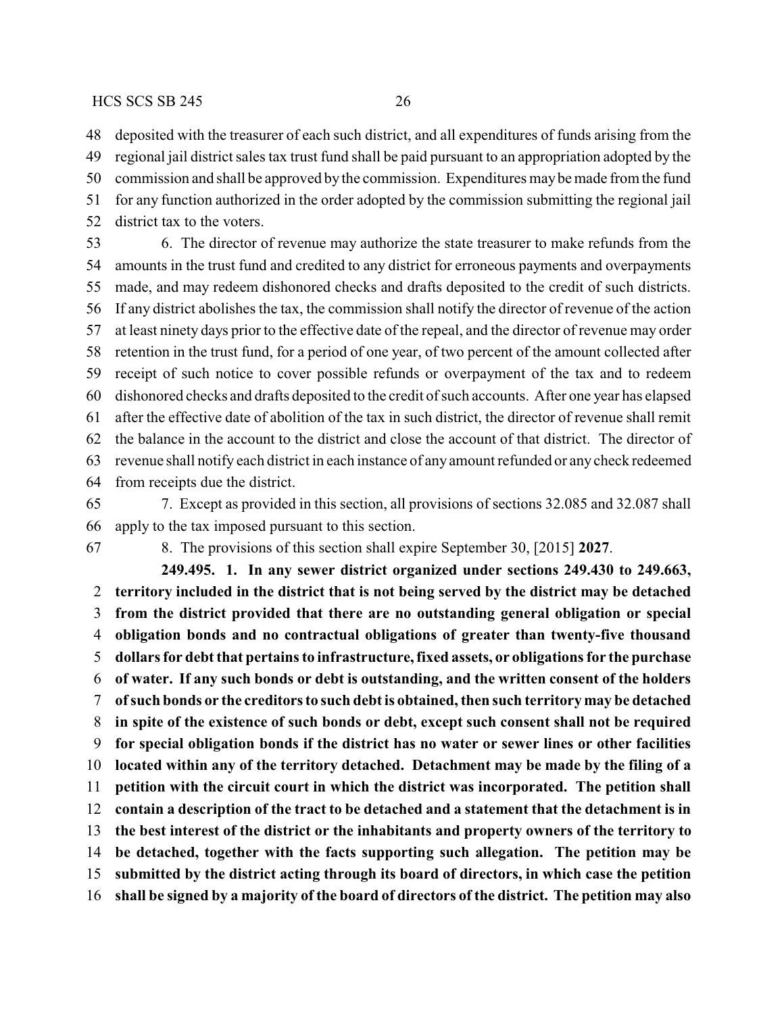deposited with the treasurer of each such district, and all expenditures of funds arising from the

 regional jail district sales tax trust fund shall be paid pursuant to an appropriation adopted by the commission and shall be approved by the commission. Expenditures maybe made from the fund for any function authorized in the order adopted by the commission submitting the regional jail

district tax to the voters.

 6. The director of revenue may authorize the state treasurer to make refunds from the amounts in the trust fund and credited to any district for erroneous payments and overpayments made, and may redeem dishonored checks and drafts deposited to the credit of such districts. If any district abolishes the tax, the commission shall notify the director of revenue of the action at least ninety days prior to the effective date of the repeal, and the director of revenue may order retention in the trust fund, for a period of one year, of two percent of the amount collected after receipt of such notice to cover possible refunds or overpayment of the tax and to redeem dishonored checks and drafts deposited to the credit of such accounts. After one year has elapsed after the effective date of abolition of the tax in such district, the director of revenue shall remit the balance in the account to the district and close the account of that district. The director of revenue shall notify each district in each instance of any amount refunded or any check redeemed from receipts due the district.

 7. Except as provided in this section, all provisions of sections 32.085 and 32.087 shall apply to the tax imposed pursuant to this section.

8. The provisions of this section shall expire September 30, [2015] **2027**.

**249.495. 1. In any sewer district organized under sections 249.430 to 249.663, territory included in the district that is not being served by the district may be detached from the district provided that there are no outstanding general obligation or special obligation bonds and no contractual obligations of greater than twenty-five thousand dollars for debt that pertains to infrastructure, fixed assets, or obligations for the purchase of water. If any such bonds or debt is outstanding, and the written consent of the holders ofsuch bonds or the creditors to such debt is obtained, then such territory may be detached in spite of the existence of such bonds or debt, except such consent shall not be required for special obligation bonds if the district has no water or sewer lines or other facilities located within any of the territory detached. Detachment may be made by the filing of a petition with the circuit court in which the district was incorporated. The petition shall contain a description of the tract to be detached and a statement that the detachment is in the best interest of the district or the inhabitants and property owners of the territory to be detached, together with the facts supporting such allegation. The petition may be submitted by the district acting through its board of directors, in which case the petition shall be signed by a majority of the board of directors of the district. The petition may also**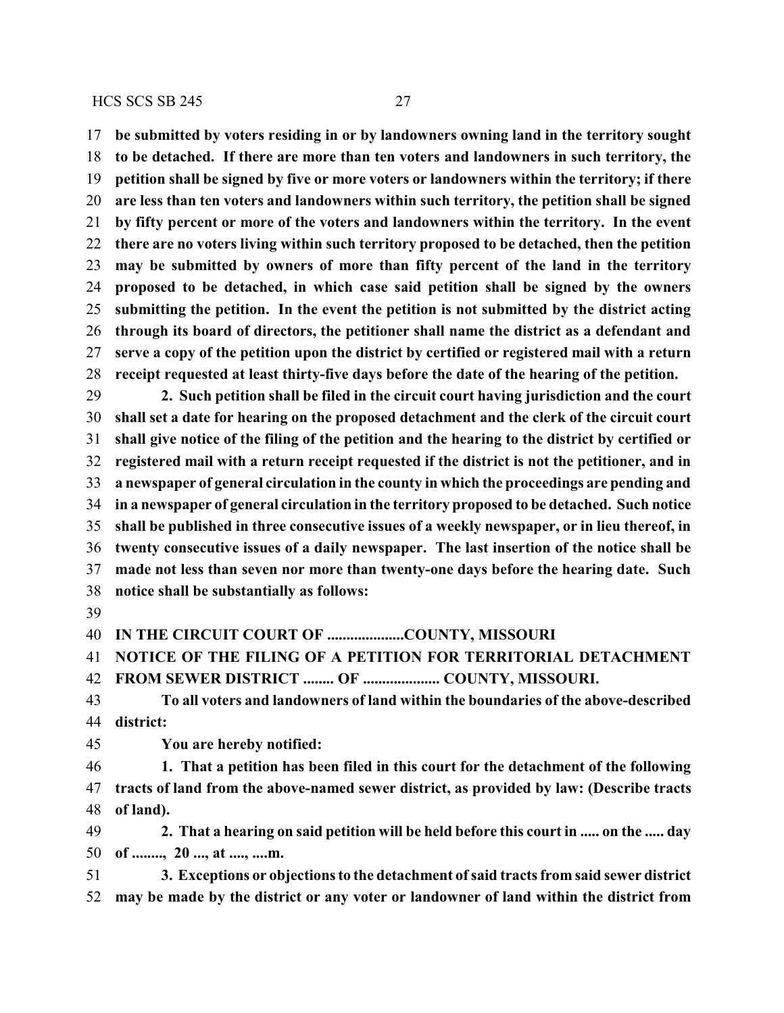**be submitted by voters residing in or by landowners owning land in the territory sought to be detached. If there are more than ten voters and landowners in such territory, the petition shall be signed by five or more voters or landowners within the territory; if there are less than ten voters and landowners within such territory, the petition shall be signed by fifty percent or more of the voters and landowners within the territory. In the event there are no voters living within such territory proposed to be detached, then the petition may be submitted by owners of more than fifty percent of the land in the territory proposed to be detached, in which case said petition shall be signed by the owners submitting the petition. In the event the petition is not submitted by the district acting through its board of directors, the petitioner shall name the district as a defendant and serve a copy of the petition upon the district by certified or registered mail with a return receipt requested at least thirty-five days before the date of the hearing of the petition.**

 **2. Such petition shall be filed in the circuit court having jurisdiction and the court shall set a date for hearing on the proposed detachment and the clerk of the circuit court shall give notice of the filing of the petition and the hearing to the district by certified or registered mail with a return receipt requested if the district is not the petitioner, and in a newspaper of general circulation in the county in which the proceedings are pending and in a newspaper of general circulation in the territory proposed to be detached. Such notice shall be published in three consecutive issues of a weekly newspaper, or in lieu thereof, in twenty consecutive issues of a daily newspaper. The last insertion of the notice shall be made not less than seven nor more than twenty-one days before the hearing date. Such notice shall be substantially as follows:**

**IN THE CIRCUIT COURT OF ....................COUNTY, MISSOURI**

**NOTICE OF THE FILING OF A PETITION FOR TERRITORIAL DETACHMENT**

**FROM SEWER DISTRICT ........ OF .................... COUNTY, MISSOURI.**

 **To all voters and landowners of land within the boundaries of the above-described district:**

**You are hereby notified:**

 **1. That a petition has been filed in this court for the detachment of the following tracts of land from the above-named sewer district, as provided by law: (Describe tracts of land).**

 **2. That a hearing on said petition will be held before this court in ..... on the ..... day of ........, 20 ..., at ...., ....m.**

 **3. Exceptions or objections to the detachment ofsaid tracts from said sewer district may be made by the district or any voter or landowner of land within the district from**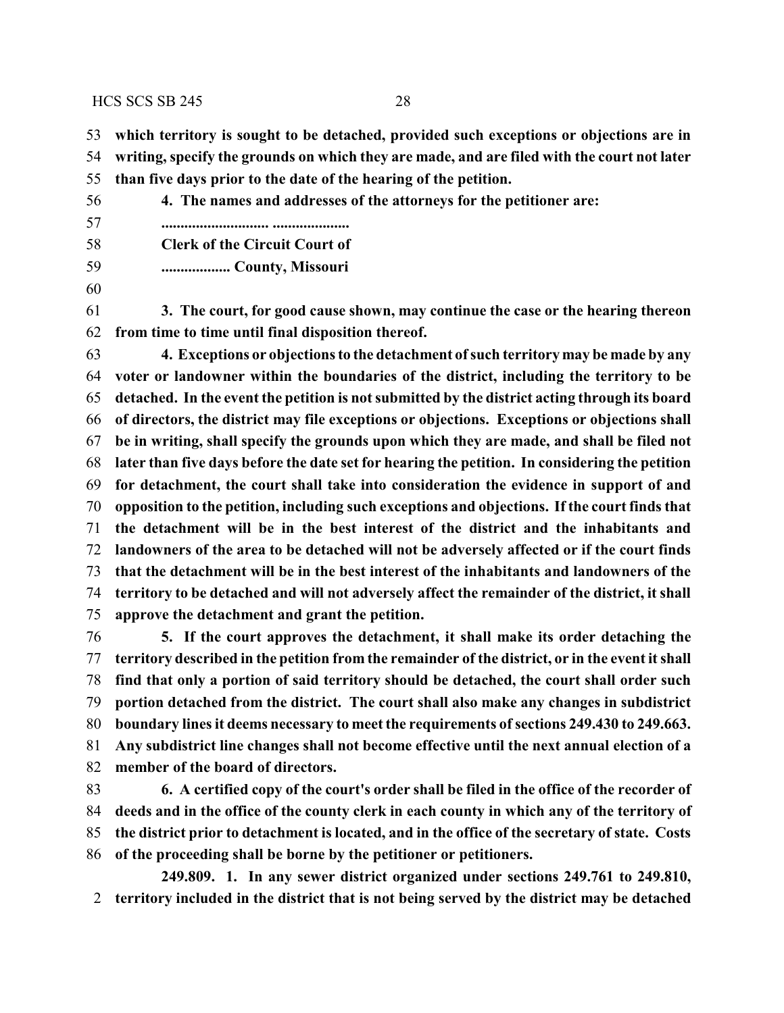**which territory is sought to be detached, provided such exceptions or objections are in**

**writing, specify the grounds on which they are made, and are filed with the court not later**

- **than five days prior to the date of the hearing of the petition.**
- **4. The names and addresses of the attorneys for the petitioner are: ............................ ....................**
- **Clerk of the Circuit Court of**
- **.................. County, Missouri**
- 
- **3. The court, for good cause shown, may continue the case or the hearing thereon from time to time until final disposition thereof.**

 **4. Exceptions or objections to the detachment ofsuch territory may be made by any voter or landowner within the boundaries of the district, including the territory to be detached. In the event the petition is not submitted by the district acting through its board of directors, the district may file exceptions or objections. Exceptions or objections shall be in writing, shall specify the grounds upon which they are made, and shall be filed not later than five days before the date set for hearing the petition. In considering the petition for detachment, the court shall take into consideration the evidence in support of and opposition to the petition, including such exceptions and objections. If the court finds that the detachment will be in the best interest of the district and the inhabitants and landowners of the area to be detached will not be adversely affected or if the court finds that the detachment will be in the best interest of the inhabitants and landowners of the territory to be detached and will not adversely affect the remainder of the district, it shall approve the detachment and grant the petition.**

 **5. If the court approves the detachment, it shall make its order detaching the territory described in the petition from the remainder of the district, or in the event it shall find that only a portion of said territory should be detached, the court shall order such portion detached from the district. The court shall also make any changes in subdistrict boundary lines it deems necessary to meet the requirements of sections 249.430 to 249.663. Any subdistrict line changes shall not become effective until the next annual election of a member of the board of directors.**

 **6. A certified copy of the court's order shall be filed in the office of the recorder of deeds and in the office of the county clerk in each county in which any of the territory of the district prior to detachment is located, and in the office of the secretary of state. Costs of the proceeding shall be borne by the petitioner or petitioners.**

**249.809. 1. In any sewer district organized under sections 249.761 to 249.810, territory included in the district that is not being served by the district may be detached**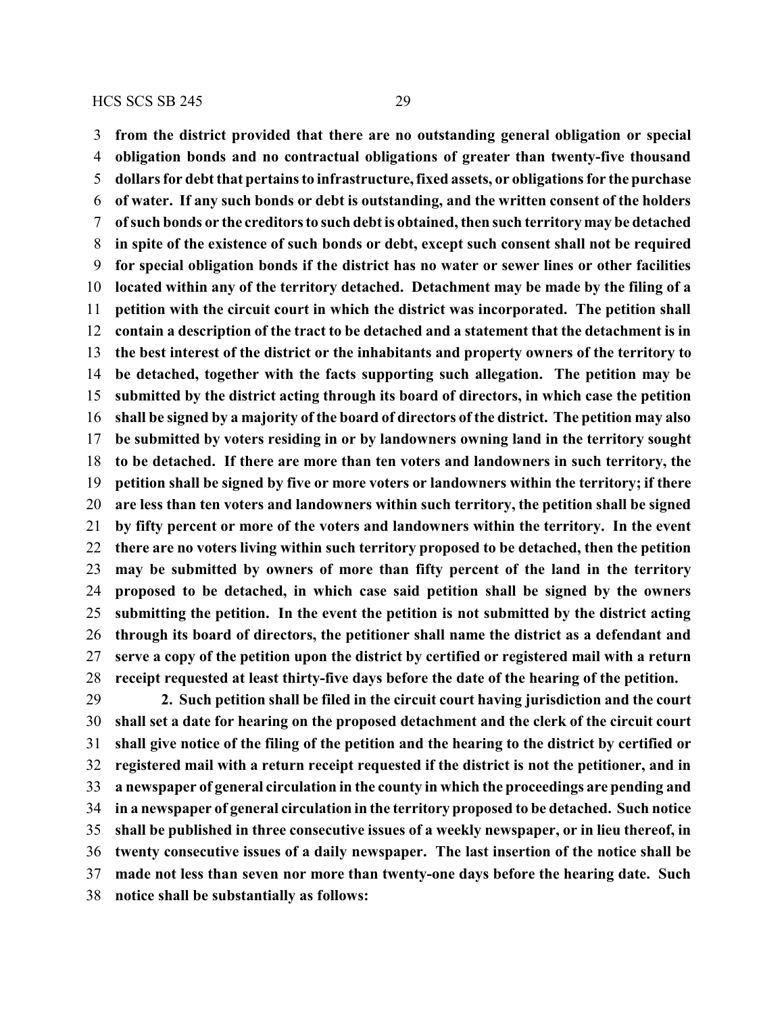**from the district provided that there are no outstanding general obligation or special obligation bonds and no contractual obligations of greater than twenty-five thousand dollars for debt that pertains to infrastructure, fixed assets, or obligations for the purchase of water. If any such bonds or debt is outstanding, and the written consent of the holders ofsuch bonds or the creditors to such debt is obtained, then such territory may be detached in spite of the existence of such bonds or debt, except such consent shall not be required for special obligation bonds if the district has no water or sewer lines or other facilities located within any of the territory detached. Detachment may be made by the filing of a petition with the circuit court in which the district was incorporated. The petition shall contain a description of the tract to be detached and a statement that the detachment is in the best interest of the district or the inhabitants and property owners of the territory to be detached, together with the facts supporting such allegation. The petition may be submitted by the district acting through its board of directors, in which case the petition shall be signed by a majority of the board of directors of the district. The petition may also be submitted by voters residing in or by landowners owning land in the territory sought to be detached. If there are more than ten voters and landowners in such territory, the petition shall be signed by five or more voters or landowners within the territory; if there are less than ten voters and landowners within such territory, the petition shall be signed by fifty percent or more of the voters and landowners within the territory. In the event there are no voters living within such territory proposed to be detached, then the petition may be submitted by owners of more than fifty percent of the land in the territory proposed to be detached, in which case said petition shall be signed by the owners submitting the petition. In the event the petition is not submitted by the district acting through its board of directors, the petitioner shall name the district as a defendant and serve a copy of the petition upon the district by certified or registered mail with a return receipt requested at least thirty-five days before the date of the hearing of the petition. 2. Such petition shall be filed in the circuit court having jurisdiction and the court**

 **shall set a date for hearing on the proposed detachment and the clerk of the circuit court shall give notice of the filing of the petition and the hearing to the district by certified or registered mail with a return receipt requested if the district is not the petitioner, and in a newspaper of general circulation in the county in which the proceedings are pending and in a newspaper of general circulation in the territory proposed to be detached. Such notice shall be published in three consecutive issues of a weekly newspaper, or in lieu thereof, in twenty consecutive issues of a daily newspaper. The last insertion of the notice shall be made not less than seven nor more than twenty-one days before the hearing date. Such notice shall be substantially as follows:**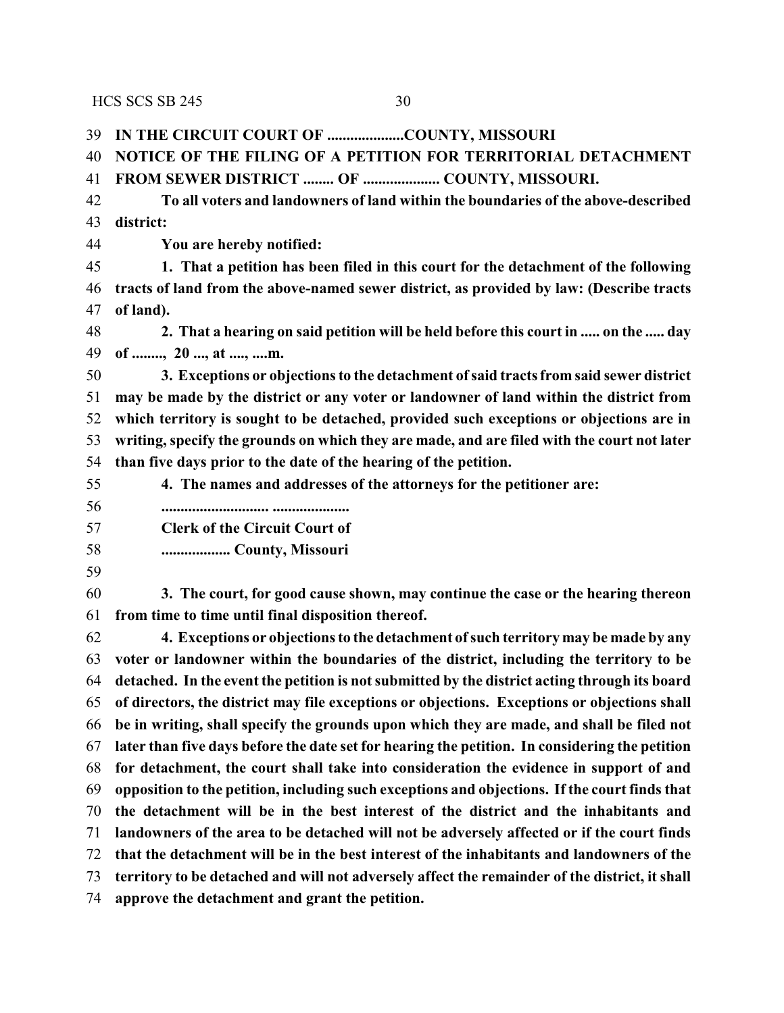**IN THE CIRCUIT COURT OF ....................COUNTY, MISSOURI NOTICE OF THE FILING OF A PETITION FOR TERRITORIAL DETACHMENT FROM SEWER DISTRICT ........ OF .................... COUNTY, MISSOURI. To all voters and landowners of land within the boundaries of the above-described district: You are hereby notified: 1. That a petition has been filed in this court for the detachment of the following tracts of land from the above-named sewer district, as provided by law: (Describe tracts of land). 2. That a hearing on said petition will be held before this court in ..... on the ..... day of ........, 20 ..., at ...., ....m. 3. Exceptions or objections to the detachment ofsaid tracts from said sewer district may be made by the district or any voter or landowner of land within the district from which territory is sought to be detached, provided such exceptions or objections are in writing, specify the grounds on which they are made, and are filed with the court not later than five days prior to the date of the hearing of the petition. 4. The names and addresses of the attorneys for the petitioner are: ............................ .................... Clerk of the Circuit Court of .................. County, Missouri 3. The court, for good cause shown, may continue the case or the hearing thereon from time to time until final disposition thereof. 4. Exceptions or objections to the detachment ofsuch territory may be made by any voter or landowner within the boundaries of the district, including the territory to be detached. In the event the petition is not submitted by the district acting through its board of directors, the district may file exceptions or objections. Exceptions or objections shall be in writing, shall specify the grounds upon which they are made, and shall be filed not later than five days before the date set for hearing the petition. In considering the petition for detachment, the court shall take into consideration the evidence in support of and opposition to the petition, including such exceptions and objections. If the court finds that the detachment will be in the best interest of the district and the inhabitants and landowners of the area to be detached will not be adversely affected or if the court finds that the detachment will be in the best interest of the inhabitants and landowners of the territory to be detached and will not adversely affect the remainder of the district, it shall approve the detachment and grant the petition.**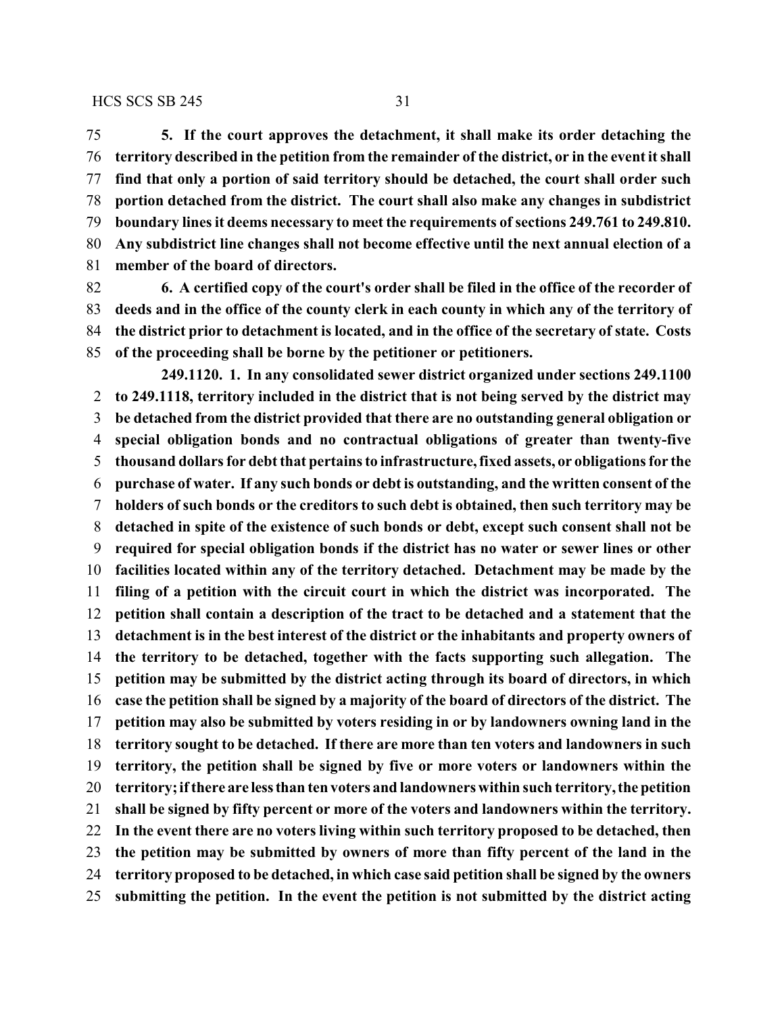**5. If the court approves the detachment, it shall make its order detaching the territory described in the petition from the remainder of the district, or in the event it shall find that only a portion of said territory should be detached, the court shall order such portion detached from the district. The court shall also make any changes in subdistrict boundary lines it deems necessary to meet the requirements ofsections 249.761 to 249.810. Any subdistrict line changes shall not become effective until the next annual election of a**

**member of the board of directors.**

 **6. A certified copy of the court's order shall be filed in the office of the recorder of deeds and in the office of the county clerk in each county in which any of the territory of the district prior to detachment is located, and in the office of the secretary of state. Costs of the proceeding shall be borne by the petitioner or petitioners.**

**249.1120. 1. In any consolidated sewer district organized under sections 249.1100 to 249.1118, territory included in the district that is not being served by the district may be detached from the district provided that there are no outstanding general obligation or special obligation bonds and no contractual obligations of greater than twenty-five thousand dollars for debt that pertains to infrastructure, fixed assets, or obligations for the purchase of water. If any such bonds or debt is outstanding, and the written consent of the holders of such bonds or the creditors to such debt is obtained, then such territory may be detached in spite of the existence of such bonds or debt, except such consent shall not be required for special obligation bonds if the district has no water or sewer lines or other facilities located within any of the territory detached. Detachment may be made by the filing of a petition with the circuit court in which the district was incorporated. The petition shall contain a description of the tract to be detached and a statement that the detachment is in the best interest of the district or the inhabitants and property owners of the territory to be detached, together with the facts supporting such allegation. The petition may be submitted by the district acting through its board of directors, in which case the petition shall be signed by a majority of the board of directors of the district. The petition may also be submitted by voters residing in or by landowners owning land in the territory sought to be detached. If there are more than ten voters and landowners in such territory, the petition shall be signed by five or more voters or landowners within the territory; ifthere are lessthan ten voters and landowners within such territory, the petition shall be signed by fifty percent or more of the voters and landowners within the territory. In the event there are no voters living within such territory proposed to be detached, then the petition may be submitted by owners of more than fifty percent of the land in the territory proposed to be detached, in which case said petition shall be signed by the owners submitting the petition. In the event the petition is not submitted by the district acting**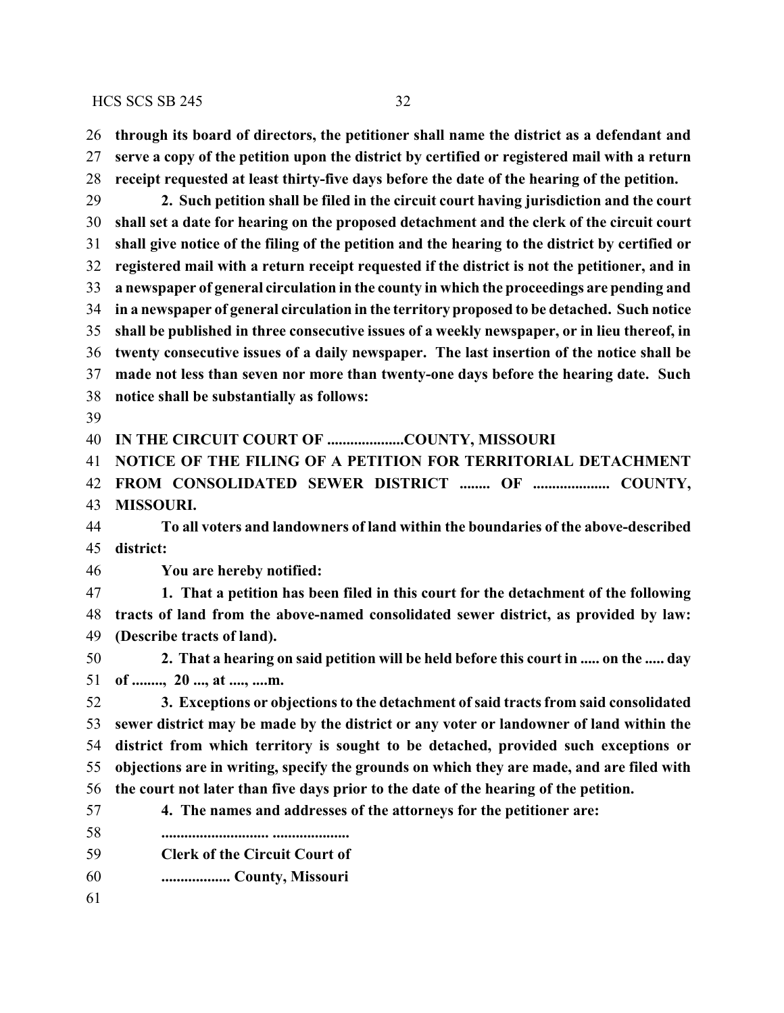**through its board of directors, the petitioner shall name the district as a defendant and**

 **serve a copy of the petition upon the district by certified or registered mail with a return receipt requested at least thirty-five days before the date of the hearing of the petition. 2. Such petition shall be filed in the circuit court having jurisdiction and the court shall set a date for hearing on the proposed detachment and the clerk of the circuit court shall give notice of the filing of the petition and the hearing to the district by certified or registered mail with a return receipt requested if the district is not the petitioner, and in a newspaper of general circulation in the county in which the proceedings are pending and in a newspaper of general circulation in the territory proposed to be detached. Such notice shall be published in three consecutive issues of a weekly newspaper, or in lieu thereof, in**

**twenty consecutive issues of a daily newspaper. The last insertion of the notice shall be**

 **made not less than seven nor more than twenty-one days before the hearing date. Such notice shall be substantially as follows:**

**IN THE CIRCUIT COURT OF ....................COUNTY, MISSOURI**

**NOTICE OF THE FILING OF A PETITION FOR TERRITORIAL DETACHMENT**

**FROM CONSOLIDATED SEWER DISTRICT ........ OF .................... COUNTY,**

**MISSOURI.**

 **To all voters and landowners of land within the boundaries of the above-described district:**

**You are hereby notified:**

 **1. That a petition has been filed in this court for the detachment of the following tracts of land from the above-named consolidated sewer district, as provided by law: (Describe tracts of land).**

 **2. That a hearing on said petition will be held before this court in ..... on the ..... day of ........, 20 ..., at ...., ....m.**

 **3. Exceptions or objections to the detachment of said tracts from said consolidated sewer district may be made by the district or any voter or landowner of land within the district from which territory is sought to be detached, provided such exceptions or objections are in writing, specify the grounds on which they are made, and are filed with the court not later than five days prior to the date of the hearing of the petition.**

- **4. The names and addresses of the attorneys for the petitioner are:**
- **............................ ....................**
- **Clerk of the Circuit Court of**
- **.................. County, Missouri**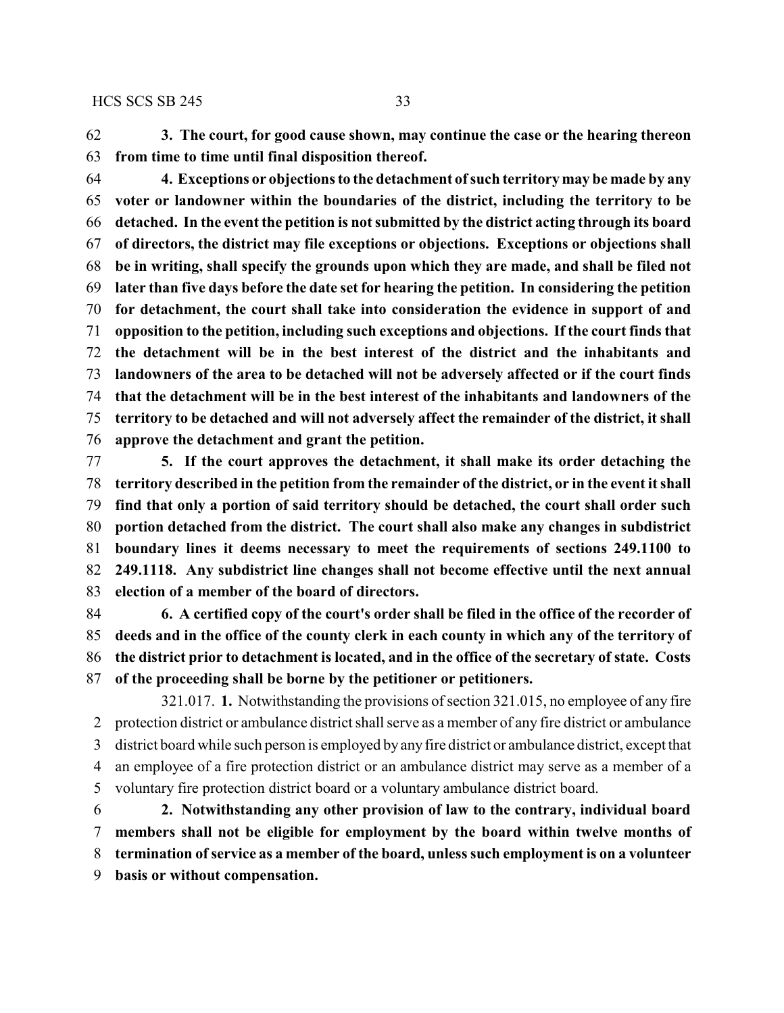**3. The court, for good cause shown, may continue the case or the hearing thereon from time to time until final disposition thereof.**

 **4. Exceptions or objections to the detachment ofsuch territory may be made by any voter or landowner within the boundaries of the district, including the territory to be detached. In the event the petition is not submitted by the district acting through its board of directors, the district may file exceptions or objections. Exceptions or objections shall be in writing, shall specify the grounds upon which they are made, and shall be filed not later than five days before the date set for hearing the petition. In considering the petition for detachment, the court shall take into consideration the evidence in support of and opposition to the petition, including such exceptions and objections. If the court finds that the detachment will be in the best interest of the district and the inhabitants and landowners of the area to be detached will not be adversely affected or if the court finds that the detachment will be in the best interest of the inhabitants and landowners of the territory to be detached and will not adversely affect the remainder of the district, it shall approve the detachment and grant the petition.**

 **5. If the court approves the detachment, it shall make its order detaching the territory described in the petition from the remainder of the district, or in the event it shall find that only a portion of said territory should be detached, the court shall order such portion detached from the district. The court shall also make any changes in subdistrict boundary lines it deems necessary to meet the requirements of sections 249.1100 to 249.1118. Any subdistrict line changes shall not become effective until the next annual election of a member of the board of directors.**

 **6. A certified copy of the court's order shall be filed in the office of the recorder of deeds and in the office of the county clerk in each county in which any of the territory of the district prior to detachment is located, and in the office of the secretary of state. Costs of the proceeding shall be borne by the petitioner or petitioners.**

321.017. **1.** Notwithstanding the provisions of section 321.015, no employee of any fire protection district or ambulance district shall serve as a member of any fire district or ambulance district board while such person is employed by any fire district or ambulance district, except that an employee of a fire protection district or an ambulance district may serve as a member of a voluntary fire protection district board or a voluntary ambulance district board.

 **2. Notwithstanding any other provision of law to the contrary, individual board members shall not be eligible for employment by the board within twelve months of termination ofservice as a member of the board, unless such employment is on a volunteer basis or without compensation.**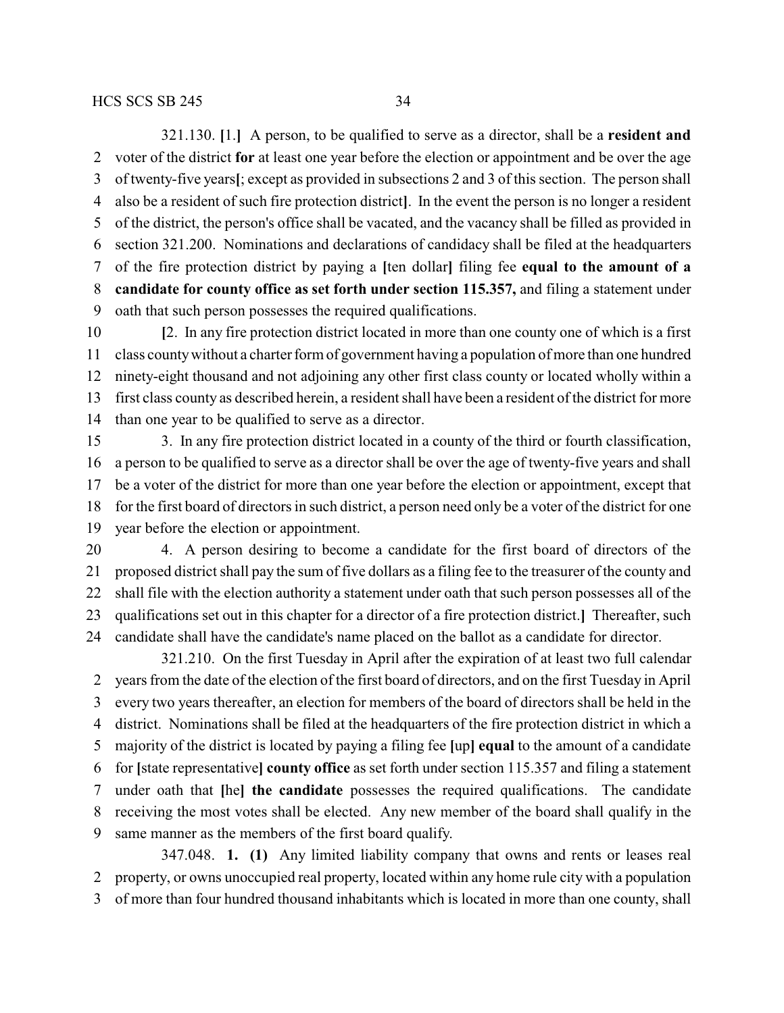321.130. **[**1.**]** A person, to be qualified to serve as a director, shall be a **resident and** voter of the district **for** at least one year before the election or appointment and be over the age of twenty-five years**[**; except as provided in subsections 2 and 3 of this section. The person shall also be a resident of such fire protection district**]**. In the event the person is no longer a resident of the district, the person's office shall be vacated, and the vacancy shall be filled as provided in section 321.200. Nominations and declarations of candidacy shall be filed at the headquarters of the fire protection district by paying a **[**ten dollar**]** filing fee **equal to the amount of a candidate for county office as set forth under section 115.357,** and filing a statement under oath that such person possesses the required qualifications.

 **[**2. In any fire protection district located in more than one county one of which is a first class countywithout a charter form of government having a population of more than one hundred ninety-eight thousand and not adjoining any other first class county or located wholly within a first class county as described herein, a resident shall have been a resident of the district for more than one year to be qualified to serve as a director.

 3. In any fire protection district located in a county of the third or fourth classification, a person to be qualified to serve as a director shall be over the age of twenty-five years and shall be a voter of the district for more than one year before the election or appointment, except that for the first board of directors in such district, a person need only be a voter of the district for one year before the election or appointment.

 4. A person desiring to become a candidate for the first board of directors of the proposed district shall pay the sum of five dollars as a filing fee to the treasurer of the county and shall file with the election authority a statement under oath that such person possesses all of the qualifications set out in this chapter for a director of a fire protection district.**]** Thereafter, such candidate shall have the candidate's name placed on the ballot as a candidate for director.

321.210. On the first Tuesday in April after the expiration of at least two full calendar years from the date of the election of the first board of directors, and on the first Tuesday in April every two years thereafter, an election for members of the board of directors shall be held in the district. Nominations shall be filed at the headquarters of the fire protection district in which a majority of the district is located by paying a filing fee **[**up**] equal** to the amount of a candidate for **[**state representative**] county office** as set forth under section 115.357 and filing a statement under oath that **[**he**] the candidate** possesses the required qualifications. The candidate receiving the most votes shall be elected. Any new member of the board shall qualify in the same manner as the members of the first board qualify.

347.048. **1. (1)** Any limited liability company that owns and rents or leases real property, or owns unoccupied real property, located within any home rule city with a population of more than four hundred thousand inhabitants which is located in more than one county, shall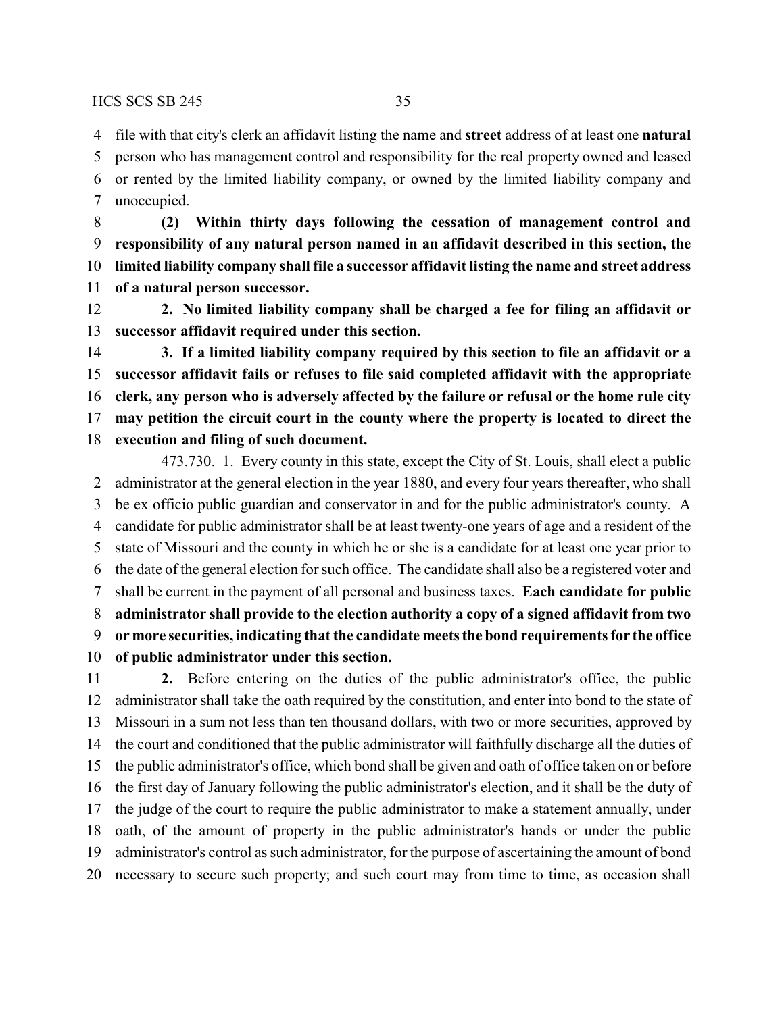file with that city's clerk an affidavit listing the name and **street** address of at least one **natural**

 person who has management control and responsibility for the real property owned and leased or rented by the limited liability company, or owned by the limited liability company and unoccupied.

 **(2) Within thirty days following the cessation of management control and responsibility of any natural person named in an affidavit described in this section, the limited liability company shall file a successor affidavit listing the name and street address of a natural person successor.**

 **2. No limited liability company shall be charged a fee for filing an affidavit or successor affidavit required under this section.**

 **3. If a limited liability company required by this section to file an affidavit or a successor affidavit fails or refuses to file said completed affidavit with the appropriate clerk, any person who is adversely affected by the failure or refusal or the home rule city may petition the circuit court in the county where the property is located to direct the execution and filing of such document.**

473.730. 1. Every county in this state, except the City of St. Louis, shall elect a public administrator at the general election in the year 1880, and every four years thereafter, who shall be ex officio public guardian and conservator in and for the public administrator's county. A candidate for public administrator shall be at least twenty-one years of age and a resident of the state of Missouri and the county in which he or she is a candidate for at least one year prior to the date of the general election for such office. The candidate shall also be a registered voter and shall be current in the payment of all personal and business taxes. **Each candidate for public administrator shall provide to the election authority a copy of a signed affidavit from two or more securities, indicating that the candidate meets the bond requirements for the office of public administrator under this section.**

 **2.** Before entering on the duties of the public administrator's office, the public administrator shall take the oath required by the constitution, and enter into bond to the state of Missouri in a sum not less than ten thousand dollars, with two or more securities, approved by the court and conditioned that the public administrator will faithfully discharge all the duties of the public administrator's office, which bond shall be given and oath of office taken on or before the first day of January following the public administrator's election, and it shall be the duty of the judge of the court to require the public administrator to make a statement annually, under oath, of the amount of property in the public administrator's hands or under the public administrator's control as such administrator, for the purpose of ascertaining the amount of bond necessary to secure such property; and such court may from time to time, as occasion shall